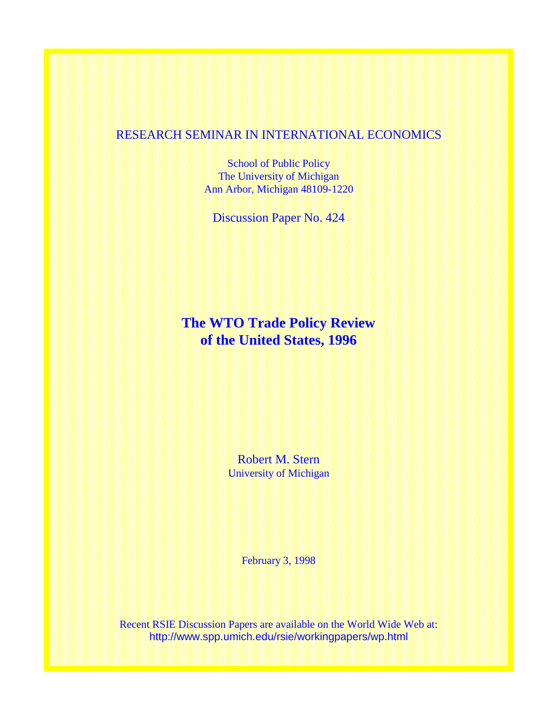# RESEARCH SEMINAR IN INTERNATIONAL ECONOMICS

School of Public Policy The University of Michigan Ann Arbor, Michigan 48109-1220

Discussion Paper No. 424

# **The WTO Trade Policy Review of the United States, 1996**

Robert M. Stern University of Michigan

February 3, 1998

Recent RSIE Discussion Papers are available on the World Wide Web at: http://www.spp.umich.edu/rsie/workingpapers/wp.html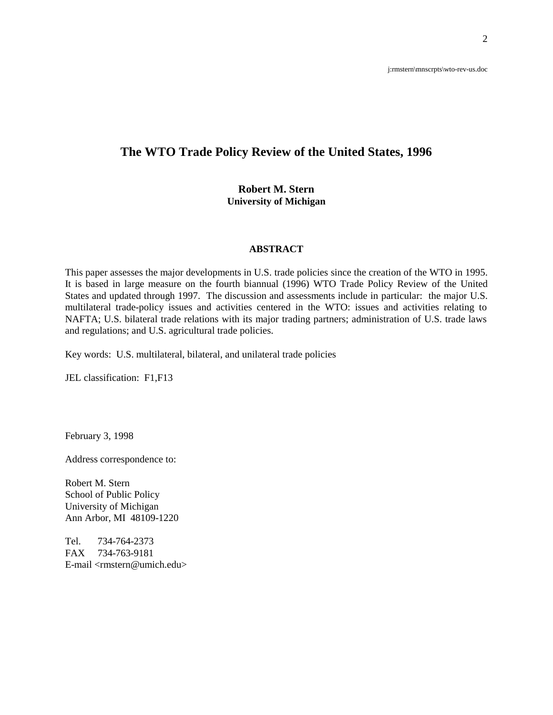# **The WTO Trade Policy Review of the United States, 1996**

**Robert M. Stern University of Michigan**

#### **ABSTRACT**

This paper assesses the major developments in U.S. trade policies since the creation of the WTO in 1995. It is based in large measure on the fourth biannual (1996) WTO Trade Policy Review of the United States and updated through 1997. The discussion and assessments include in particular: the major U.S. multilateral trade-policy issues and activities centered in the WTO: issues and activities relating to NAFTA; U.S. bilateral trade relations with its major trading partners; administration of U.S. trade laws and regulations; and U.S. agricultural trade policies.

Key words: U.S. multilateral, bilateral, and unilateral trade policies

JEL classification: F1,F13

February 3, 1998

Address correspondence to:

Robert M. Stern School of Public Policy University of Michigan Ann Arbor, MI 48109-1220

Tel. 734-764-2373 FAX 734-763-9181 E-mail <rmstern@umich.edu>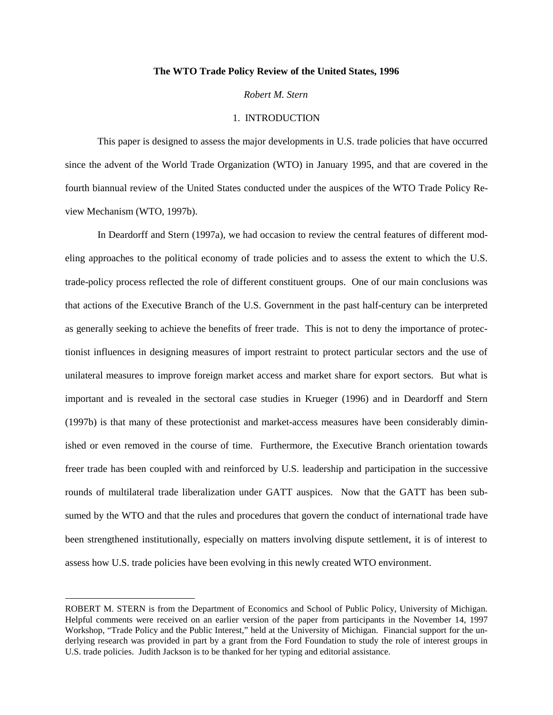#### **The WTO Trade Policy Review of the United States, 1996**

*Robert M. Stern*<sup>∗</sup>

#### 1. INTRODUCTION

This paper is designed to assess the major developments in U.S. trade policies that have occurred since the advent of the World Trade Organization (WTO) in January 1995, and that are covered in the fourth biannual review of the United States conducted under the auspices of the WTO Trade Policy Review Mechanism (WTO, 1997b).

In Deardorff and Stern (1997a), we had occasion to review the central features of different modeling approaches to the political economy of trade policies and to assess the extent to which the U.S. trade-policy process reflected the role of different constituent groups. One of our main conclusions was that actions of the Executive Branch of the U.S. Government in the past half-century can be interpreted as generally seeking to achieve the benefits of freer trade. This is not to deny the importance of protectionist influences in designing measures of import restraint to protect particular sectors and the use of unilateral measures to improve foreign market access and market share for export sectors. But what is important and is revealed in the sectoral case studies in Krueger (1996) and in Deardorff and Stern (1997b) is that many of these protectionist and market-access measures have been considerably diminished or even removed in the course of time. Furthermore, the Executive Branch orientation towards freer trade has been coupled with and reinforced by U.S. leadership and participation in the successive rounds of multilateral trade liberalization under GATT auspices. Now that the GATT has been subsumed by the WTO and that the rules and procedures that govern the conduct of international trade have been strengthened institutionally, especially on matters involving dispute settlement, it is of interest to assess how U.S. trade policies have been evolving in this newly created WTO environment.

ROBERT M. STERN is from the Department of Economics and School of Public Policy, University of Michigan. Helpful comments were received on an earlier version of the paper from participants in the November 14, 1997 Workshop, "Trade Policy and the Public Interest," held at the University of Michigan. Financial support for the underlying research was provided in part by a grant from the Ford Foundation to study the role of interest groups in U.S. trade policies. Judith Jackson is to be thanked for her typing and editorial assistance.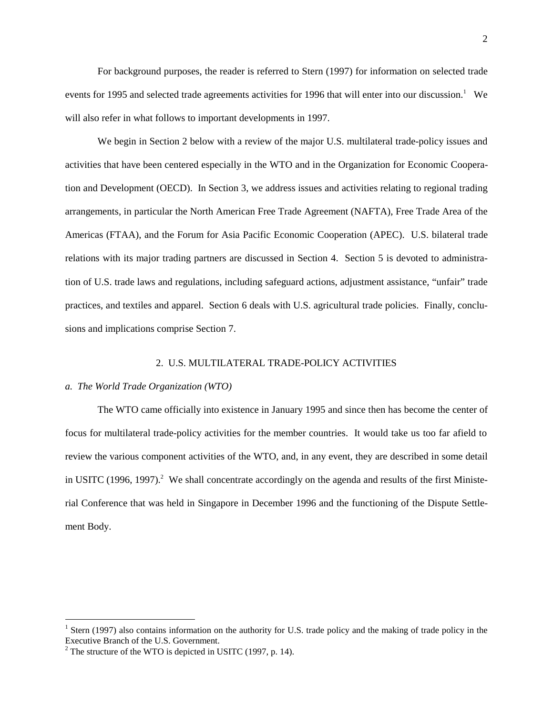For background purposes, the reader is referred to Stern (1997) for information on selected trade events for 1995 and selected trade agreements activities for 1996 that will enter into our discussion.<sup>1</sup> We will also refer in what follows to important developments in 1997.

We begin in Section 2 below with a review of the major U.S. multilateral trade-policy issues and activities that have been centered especially in the WTO and in the Organization for Economic Cooperation and Development (OECD). In Section 3, we address issues and activities relating to regional trading arrangements, in particular the North American Free Trade Agreement (NAFTA), Free Trade Area of the Americas (FTAA), and the Forum for Asia Pacific Economic Cooperation (APEC). U.S. bilateral trade relations with its major trading partners are discussed in Section 4. Section 5 is devoted to administration of U.S. trade laws and regulations, including safeguard actions, adjustment assistance, "unfair" trade practices, and textiles and apparel. Section 6 deals with U.S. agricultural trade policies. Finally, conclusions and implications comprise Section 7.

# 2. U.S. MULTILATERAL TRADE-POLICY ACTIVITIES

# *a. The World Trade Organization (WTO)*

The WTO came officially into existence in January 1995 and since then has become the center of focus for multilateral trade-policy activities for the member countries. It would take us too far afield to review the various component activities of the WTO, and, in any event, they are described in some detail in USITC (1996, 1997).<sup>2</sup> We shall concentrate accordingly on the agenda and results of the first Ministerial Conference that was held in Singapore in December 1996 and the functioning of the Dispute Settlement Body.

<sup>&</sup>lt;sup>1</sup> Stern (1997) also contains information on the authority for U.S. trade policy and the making of trade policy in the Executive Branch of the U.S. Government.

<sup>&</sup>lt;sup>2</sup> The structure of the WTO is depicted in USITC (1997, p. 14).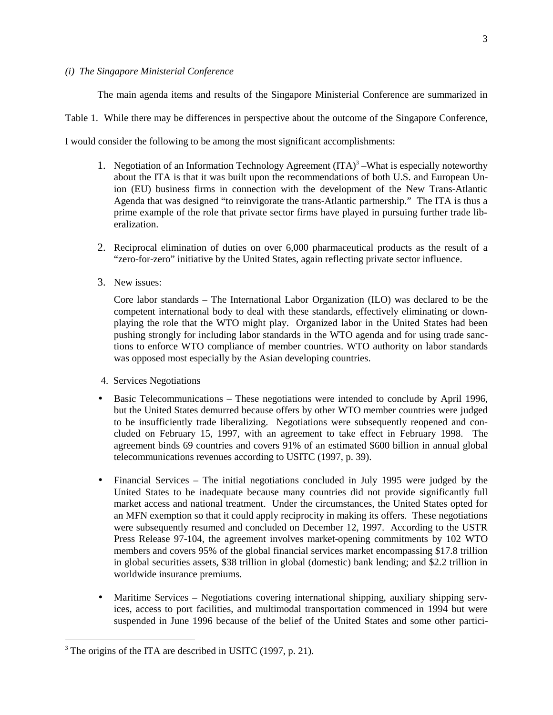### *(i) The Singapore Ministerial Conference*

The main agenda items and results of the Singapore Ministerial Conference are summarized in

Table 1. While there may be differences in perspective about the outcome of the Singapore Conference,

I would consider the following to be among the most significant accomplishments:

- 1. Negotiation of an Information Technology Agreement (ITA)<sup>3</sup> What is especially noteworthy about the ITA is that it was built upon the recommendations of both U.S. and European Union (EU) business firms in connection with the development of the New Trans-Atlantic Agenda that was designed "to reinvigorate the trans-Atlantic partnership." The ITA is thus a prime example of the role that private sector firms have played in pursuing further trade liberalization.
- 2. Reciprocal elimination of duties on over 6,000 pharmaceutical products as the result of a "zero-for-zero" initiative by the United States, again reflecting private sector influence.
- 3. New issues:

Core labor standards – The International Labor Organization (ILO) was declared to be the competent international body to deal with these standards, effectively eliminating or downplaying the role that the WTO might play. Organized labor in the United States had been pushing strongly for including labor standards in the WTO agenda and for using trade sanctions to enforce WTO compliance of member countries. WTO authority on labor standards was opposed most especially by the Asian developing countries.

- 4. Services Negotiations
- Basic Telecommunications These negotiations were intended to conclude by April 1996, but the United States demurred because offers by other WTO member countries were judged to be insufficiently trade liberalizing. Negotiations were subsequently reopened and concluded on February 15, 1997, with an agreement to take effect in February 1998. The agreement binds 69 countries and covers 91% of an estimated \$600 billion in annual global telecommunications revenues according to USITC (1997, p. 39).
- Financial Services The initial negotiations concluded in July 1995 were judged by the United States to be inadequate because many countries did not provide significantly full market access and national treatment. Under the circumstances, the United States opted for an MFN exemption so that it could apply reciprocity in making its offers. These negotiations were subsequently resumed and concluded on December 12, 1997. According to the USTR Press Release 97-104, the agreement involves market-opening commitments by 102 WTO members and covers 95% of the global financial services market encompassing \$17.8 trillion in global securities assets, \$38 trillion in global (domestic) bank lending; and \$2.2 trillion in worldwide insurance premiums.
- Maritime Services Negotiations covering international shipping, auxiliary shipping services, access to port facilities, and multimodal transportation commenced in 1994 but were suspended in June 1996 because of the belief of the United States and some other partici-

<sup>&</sup>lt;sup>3</sup> The origins of the ITA are described in USITC (1997, p. 21).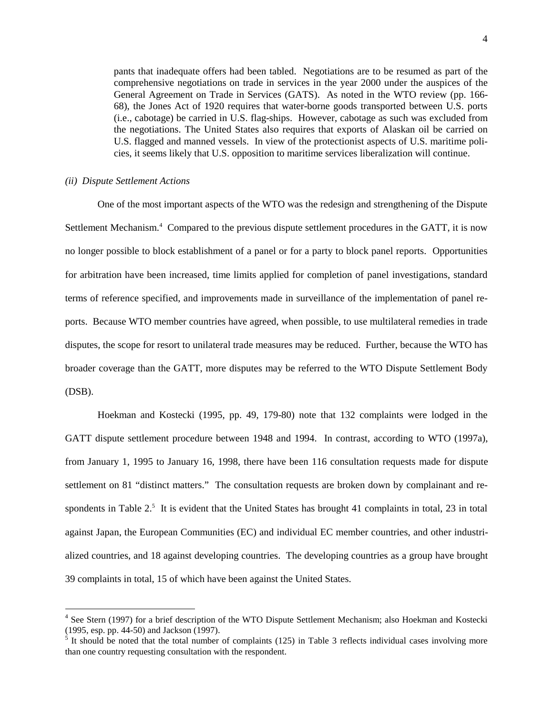pants that inadequate offers had been tabled. Negotiations are to be resumed as part of the comprehensive negotiations on trade in services in the year 2000 under the auspices of the General Agreement on Trade in Services (GATS). As noted in the WTO review (pp. 166- 68), the Jones Act of 1920 requires that water-borne goods transported between U.S. ports (i.e., cabotage) be carried in U.S. flag-ships. However, cabotage as such was excluded from the negotiations. The United States also requires that exports of Alaskan oil be carried on U.S. flagged and manned vessels. In view of the protectionist aspects of U.S. maritime policies, it seems likely that U.S. opposition to maritime services liberalization will continue.

### *(ii) Dispute Settlement Actions*

 $\overline{a}$ 

One of the most important aspects of the WTO was the redesign and strengthening of the Dispute Settlement Mechanism.<sup>4</sup> Compared to the previous dispute settlement procedures in the GATT, it is now no longer possible to block establishment of a panel or for a party to block panel reports. Opportunities for arbitration have been increased, time limits applied for completion of panel investigations, standard terms of reference specified, and improvements made in surveillance of the implementation of panel reports. Because WTO member countries have agreed, when possible, to use multilateral remedies in trade disputes, the scope for resort to unilateral trade measures may be reduced. Further, because the WTO has broader coverage than the GATT, more disputes may be referred to the WTO Dispute Settlement Body (DSB).

Hoekman and Kostecki (1995, pp. 49, 179-80) note that 132 complaints were lodged in the GATT dispute settlement procedure between 1948 and 1994. In contrast, according to WTO (1997a), from January 1, 1995 to January 16, 1998, there have been 116 consultation requests made for dispute settlement on 81 "distinct matters." The consultation requests are broken down by complainant and respondents in Table 2.<sup>5</sup> It is evident that the United States has brought 41 complaints in total, 23 in total against Japan, the European Communities (EC) and individual EC member countries, and other industrialized countries, and 18 against developing countries. The developing countries as a group have brought 39 complaints in total, 15 of which have been against the United States.

<sup>&</sup>lt;sup>4</sup> See Stern (1997) for a brief description of the WTO Dispute Settlement Mechanism; also Hoekman and Kostecki (1995, esp. pp. 44-50) and Jackson (1997).

 $<sup>5</sup>$  It should be noted that the total number of complaints (125) in Table 3 reflects individual cases involving more</sup> than one country requesting consultation with the respondent.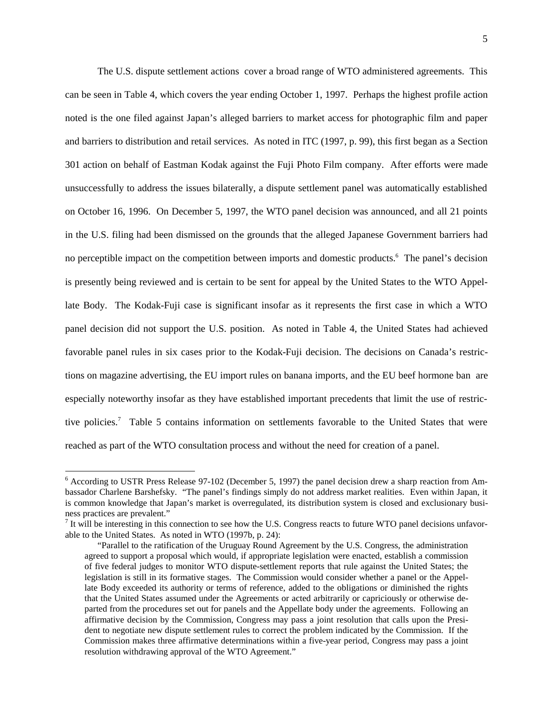The U.S. dispute settlement actions cover a broad range of WTO administered agreements. This can be seen in Table 4, which covers the year ending October 1, 1997. Perhaps the highest profile action noted is the one filed against Japan's alleged barriers to market access for photographic film and paper and barriers to distribution and retail services. As noted in ITC (1997, p. 99), this first began as a Section 301 action on behalf of Eastman Kodak against the Fuji Photo Film company. After efforts were made unsuccessfully to address the issues bilaterally, a dispute settlement panel was automatically established on October 16, 1996. On December 5, 1997, the WTO panel decision was announced, and all 21 points in the U.S. filing had been dismissed on the grounds that the alleged Japanese Government barriers had no perceptible impact on the competition between imports and domestic products.<sup>6</sup> The panel's decision is presently being reviewed and is certain to be sent for appeal by the United States to the WTO Appellate Body. The Kodak-Fuji case is significant insofar as it represents the first case in which a WTO panel decision did not support the U.S. position. As noted in Table 4, the United States had achieved favorable panel rules in six cases prior to the Kodak-Fuji decision. The decisions on Canada's restrictions on magazine advertising, the EU import rules on banana imports, and the EU beef hormone ban are especially noteworthy insofar as they have established important precedents that limit the use of restrictive policies.<sup>7</sup> Table 5 contains information on settlements favorable to the United States that were reached as part of the WTO consultation process and without the need for creation of a panel.

<sup>&</sup>lt;sup>6</sup> According to USTR Press Release 97-102 (December 5, 1997) the panel decision drew a sharp reaction from Ambassador Charlene Barshefsky. "The panel's findings simply do not address market realities. Even within Japan, it is common knowledge that Japan's market is overregulated, its distribution system is closed and exclusionary business practices are prevalent."

 $<sup>7</sup>$  It will be interesting in this connection to see how the U.S. Congress reacts to future WTO panel decisions unfavor-</sup> able to the United States. As noted in WTO (1997b, p. 24):

<sup>&</sup>quot;Parallel to the ratification of the Uruguay Round Agreement by the U.S. Congress, the administration agreed to support a proposal which would, if appropriate legislation were enacted, establish a commission of five federal judges to monitor WTO dispute-settlement reports that rule against the United States; the legislation is still in its formative stages. The Commission would consider whether a panel or the Appellate Body exceeded its authority or terms of reference, added to the obligations or diminished the rights that the United States assumed under the Agreements or acted arbitrarily or capriciously or otherwise departed from the procedures set out for panels and the Appellate body under the agreements. Following an affirmative decision by the Commission, Congress may pass a joint resolution that calls upon the President to negotiate new dispute settlement rules to correct the problem indicated by the Commission. If the Commission makes three affirmative determinations within a five-year period, Congress may pass a joint resolution withdrawing approval of the WTO Agreement."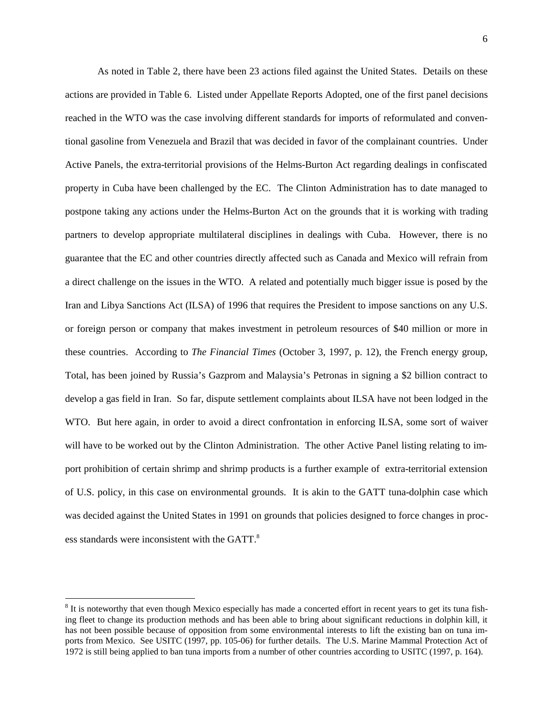As noted in Table 2, there have been 23 actions filed against the United States. Details on these actions are provided in Table 6. Listed under Appellate Reports Adopted, one of the first panel decisions reached in the WTO was the case involving different standards for imports of reformulated and conventional gasoline from Venezuela and Brazil that was decided in favor of the complainant countries. Under Active Panels, the extra-territorial provisions of the Helms-Burton Act regarding dealings in confiscated property in Cuba have been challenged by the EC. The Clinton Administration has to date managed to postpone taking any actions under the Helms-Burton Act on the grounds that it is working with trading partners to develop appropriate multilateral disciplines in dealings with Cuba. However, there is no guarantee that the EC and other countries directly affected such as Canada and Mexico will refrain from a direct challenge on the issues in the WTO. A related and potentially much bigger issue is posed by the Iran and Libya Sanctions Act (ILSA) of 1996 that requires the President to impose sanctions on any U.S. or foreign person or company that makes investment in petroleum resources of \$40 million or more in these countries. According to *The Financial Times* (October 3, 1997, p. 12), the French energy group, Total, has been joined by Russia's Gazprom and Malaysia's Petronas in signing a \$2 billion contract to develop a gas field in Iran. So far, dispute settlement complaints about ILSA have not been lodged in the WTO. But here again, in order to avoid a direct confrontation in enforcing ILSA, some sort of waiver will have to be worked out by the Clinton Administration. The other Active Panel listing relating to import prohibition of certain shrimp and shrimp products is a further example of extra-territorial extension of U.S. policy, in this case on environmental grounds. It is akin to the GATT tuna-dolphin case which was decided against the United States in 1991 on grounds that policies designed to force changes in process standards were inconsistent with the GATT.<sup>8</sup>

 $8$  It is noteworthy that even though Mexico especially has made a concerted effort in recent years to get its tuna fishing fleet to change its production methods and has been able to bring about significant reductions in dolphin kill, it has not been possible because of opposition from some environmental interests to lift the existing ban on tuna imports from Mexico. See USITC (1997, pp. 105-06) for further details. The U.S. Marine Mammal Protection Act of 1972 is still being applied to ban tuna imports from a number of other countries according to USITC (1997, p. 164).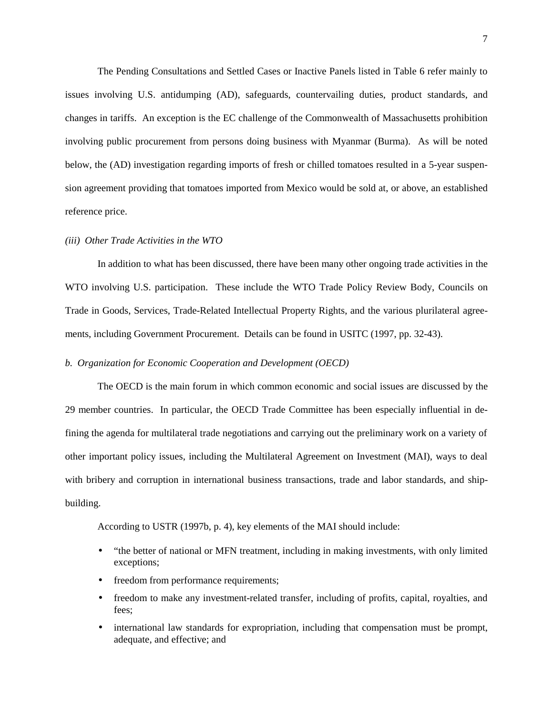The Pending Consultations and Settled Cases or Inactive Panels listed in Table 6 refer mainly to issues involving U.S. antidumping (AD), safeguards, countervailing duties, product standards, and changes in tariffs. An exception is the EC challenge of the Commonwealth of Massachusetts prohibition involving public procurement from persons doing business with Myanmar (Burma). As will be noted below, the (AD) investigation regarding imports of fresh or chilled tomatoes resulted in a 5-year suspension agreement providing that tomatoes imported from Mexico would be sold at, or above, an established reference price.

#### *(iii) Other Trade Activities in the WTO*

In addition to what has been discussed, there have been many other ongoing trade activities in the WTO involving U.S. participation. These include the WTO Trade Policy Review Body, Councils on Trade in Goods, Services, Trade-Related Intellectual Property Rights, and the various plurilateral agreements, including Government Procurement. Details can be found in USITC (1997, pp. 32-43).

# *b. Organization for Economic Cooperation and Development (OECD)*

The OECD is the main forum in which common economic and social issues are discussed by the 29 member countries. In particular, the OECD Trade Committee has been especially influential in defining the agenda for multilateral trade negotiations and carrying out the preliminary work on a variety of other important policy issues, including the Multilateral Agreement on Investment (MAI), ways to deal with bribery and corruption in international business transactions, trade and labor standards, and shipbuilding.

According to USTR (1997b, p. 4), key elements of the MAI should include:

- "the better of national or MFN treatment, including in making investments, with only limited exceptions;
- freedom from performance requirements;
- freedom to make any investment-related transfer, including of profits, capital, royalties, and fees;
- international law standards for expropriation, including that compensation must be prompt, adequate, and effective; and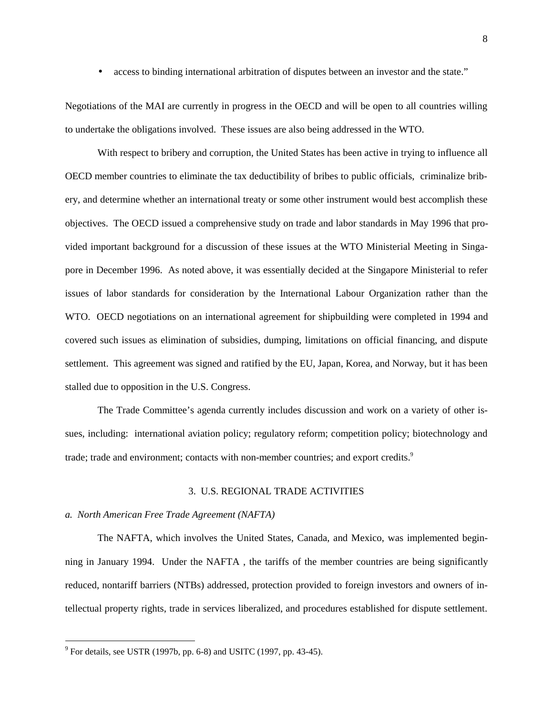• access to binding international arbitration of disputes between an investor and the state."

Negotiations of the MAI are currently in progress in the OECD and will be open to all countries willing to undertake the obligations involved. These issues are also being addressed in the WTO.

With respect to bribery and corruption, the United States has been active in trying to influence all OECD member countries to eliminate the tax deductibility of bribes to public officials, criminalize bribery, and determine whether an international treaty or some other instrument would best accomplish these objectives. The OECD issued a comprehensive study on trade and labor standards in May 1996 that provided important background for a discussion of these issues at the WTO Ministerial Meeting in Singapore in December 1996. As noted above, it was essentially decided at the Singapore Ministerial to refer issues of labor standards for consideration by the International Labour Organization rather than the WTO. OECD negotiations on an international agreement for shipbuilding were completed in 1994 and covered such issues as elimination of subsidies, dumping, limitations on official financing, and dispute settlement. This agreement was signed and ratified by the EU, Japan, Korea, and Norway, but it has been stalled due to opposition in the U.S. Congress.

The Trade Committee's agenda currently includes discussion and work on a variety of other issues, including: international aviation policy; regulatory reform; competition policy; biotechnology and trade; trade and environment; contacts with non-member countries; and export credits.<sup>9</sup>

# 3. U.S. REGIONAL TRADE ACTIVITIES

#### *a. North American Free Trade Agreement (NAFTA)*

 $\overline{a}$ 

The NAFTA, which involves the United States, Canada, and Mexico, was implemented beginning in January 1994. Under the NAFTA , the tariffs of the member countries are being significantly reduced, nontariff barriers (NTBs) addressed, protection provided to foreign investors and owners of intellectual property rights, trade in services liberalized, and procedures established for dispute settlement.

 $9^9$  For details, see USTR (1997b, pp. 6-8) and USITC (1997, pp. 43-45).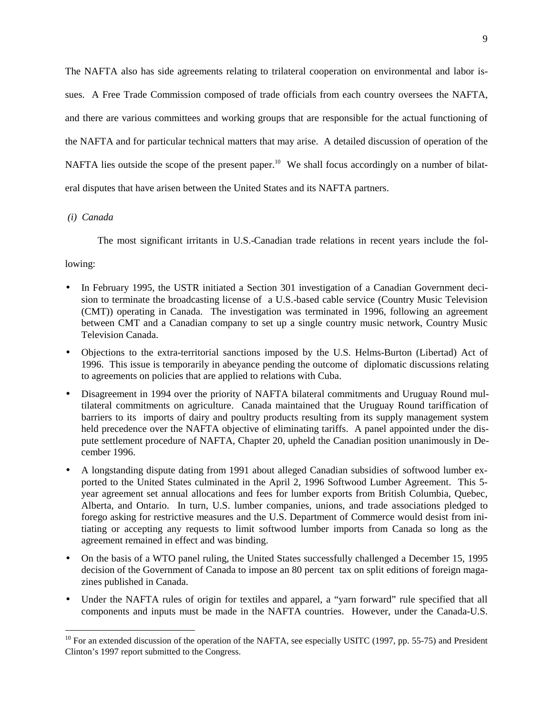The NAFTA also has side agreements relating to trilateral cooperation on environmental and labor issues. A Free Trade Commission composed of trade officials from each country oversees the NAFTA, and there are various committees and working groups that are responsible for the actual functioning of the NAFTA and for particular technical matters that may arise. A detailed discussion of operation of the NAFTA lies outside the scope of the present paper.<sup>10</sup> We shall focus accordingly on a number of bilateral disputes that have arisen between the United States and its NAFTA partners.

# *(i) Canada*

The most significant irritants in U.S.-Canadian trade relations in recent years include the fol-

lowing:

- In February 1995, the USTR initiated a Section 301 investigation of a Canadian Government decision to terminate the broadcasting license of a U.S.-based cable service (Country Music Television (CMT)) operating in Canada. The investigation was terminated in 1996, following an agreement between CMT and a Canadian company to set up a single country music network, Country Music Television Canada.
- Objections to the extra-territorial sanctions imposed by the U.S. Helms-Burton (Libertad) Act of 1996. This issue is temporarily in abeyance pending the outcome of diplomatic discussions relating to agreements on policies that are applied to relations with Cuba.
- Disagreement in 1994 over the priority of NAFTA bilateral commitments and Uruguay Round multilateral commitments on agriculture. Canada maintained that the Uruguay Round tariffication of barriers to its imports of dairy and poultry products resulting from its supply management system held precedence over the NAFTA objective of eliminating tariffs. A panel appointed under the dispute settlement procedure of NAFTA, Chapter 20, upheld the Canadian position unanimously in December 1996.
- A longstanding dispute dating from 1991 about alleged Canadian subsidies of softwood lumber exported to the United States culminated in the April 2, 1996 Softwood Lumber Agreement. This 5 year agreement set annual allocations and fees for lumber exports from British Columbia, Quebec, Alberta, and Ontario. In turn, U.S. lumber companies, unions, and trade associations pledged to forego asking for restrictive measures and the U.S. Department of Commerce would desist from initiating or accepting any requests to limit softwood lumber imports from Canada so long as the agreement remained in effect and was binding.
- On the basis of a WTO panel ruling, the United States successfully challenged a December 15, 1995 decision of the Government of Canada to impose an 80 percent tax on split editions of foreign magazines published in Canada.
- Under the NAFTA rules of origin for textiles and apparel, a "yarn forward" rule specified that all components and inputs must be made in the NAFTA countries. However, under the Canada-U.S.

 $10$  For an extended discussion of the operation of the NAFTA, see especially USITC (1997, pp. 55-75) and President Clinton's 1997 report submitted to the Congress.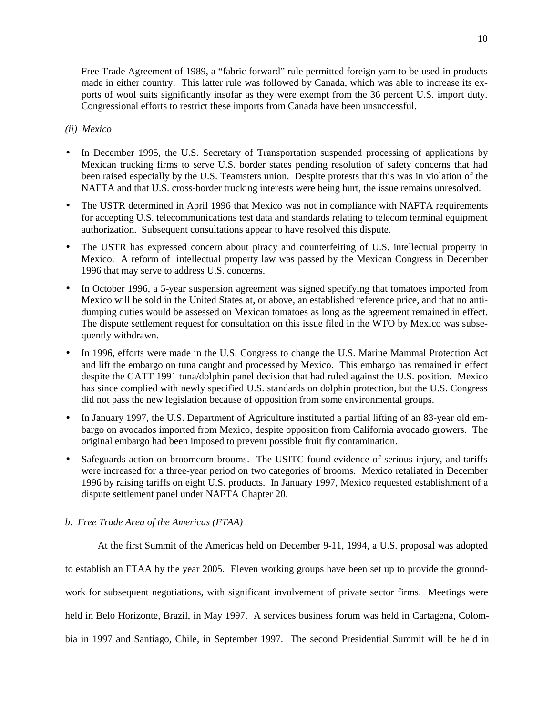Free Trade Agreement of 1989, a "fabric forward" rule permitted foreign yarn to be used in products made in either country. This latter rule was followed by Canada, which was able to increase its exports of wool suits significantly insofar as they were exempt from the 36 percent U.S. import duty. Congressional efforts to restrict these imports from Canada have been unsuccessful.

# *(ii) Mexico*

- In December 1995, the U.S. Secretary of Transportation suspended processing of applications by Mexican trucking firms to serve U.S. border states pending resolution of safety concerns that had been raised especially by the U.S. Teamsters union. Despite protests that this was in violation of the NAFTA and that U.S. cross-border trucking interests were being hurt, the issue remains unresolved.
- The USTR determined in April 1996 that Mexico was not in compliance with NAFTA requirements for accepting U.S. telecommunications test data and standards relating to telecom terminal equipment authorization. Subsequent consultations appear to have resolved this dispute.
- The USTR has expressed concern about piracy and counterfeiting of U.S. intellectual property in Mexico. A reform of intellectual property law was passed by the Mexican Congress in December 1996 that may serve to address U.S. concerns.
- In October 1996, a 5-year suspension agreement was signed specifying that tomatoes imported from Mexico will be sold in the United States at, or above, an established reference price, and that no antidumping duties would be assessed on Mexican tomatoes as long as the agreement remained in effect. The dispute settlement request for consultation on this issue filed in the WTO by Mexico was subsequently withdrawn.
- In 1996, efforts were made in the U.S. Congress to change the U.S. Marine Mammal Protection Act and lift the embargo on tuna caught and processed by Mexico. This embargo has remained in effect despite the GATT 1991 tuna/dolphin panel decision that had ruled against the U.S. position. Mexico has since complied with newly specified U.S. standards on dolphin protection, but the U.S. Congress did not pass the new legislation because of opposition from some environmental groups.
- In January 1997, the U.S. Department of Agriculture instituted a partial lifting of an 83-year old embargo on avocados imported from Mexico, despite opposition from California avocado growers. The original embargo had been imposed to prevent possible fruit fly contamination.
- Safeguards action on broomcorn brooms. The USITC found evidence of serious injury, and tariffs were increased for a three-year period on two categories of brooms. Mexico retaliated in December 1996 by raising tariffs on eight U.S. products. In January 1997, Mexico requested establishment of a dispute settlement panel under NAFTA Chapter 20.
- *b. Free Trade Area of the Americas (FTAA)*

At the first Summit of the Americas held on December 9-11, 1994, a U.S. proposal was adopted to establish an FTAA by the year 2005. Eleven working groups have been set up to provide the groundwork for subsequent negotiations, with significant involvement of private sector firms. Meetings were held in Belo Horizonte, Brazil, in May 1997. A services business forum was held in Cartagena, Colombia in 1997 and Santiago, Chile, in September 1997. The second Presidential Summit will be held in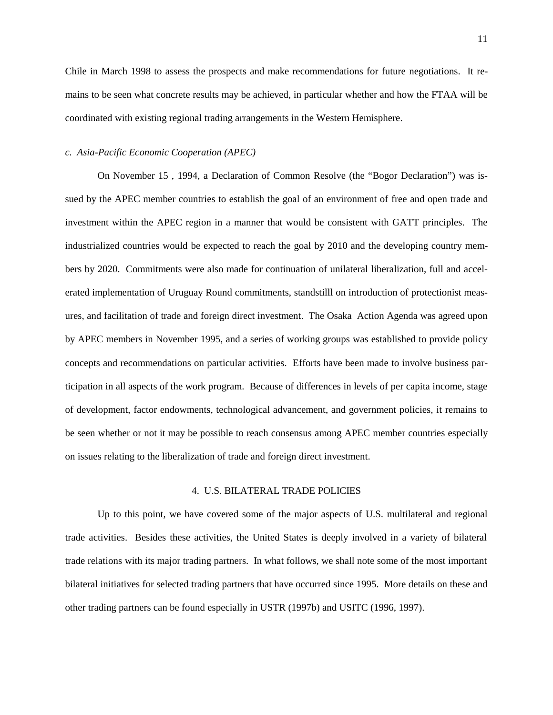Chile in March 1998 to assess the prospects and make recommendations for future negotiations. It remains to be seen what concrete results may be achieved, in particular whether and how the FTAA will be coordinated with existing regional trading arrangements in the Western Hemisphere.

#### *c. Asia-Pacific Economic Cooperation (APEC)*

On November 15 , 1994, a Declaration of Common Resolve (the "Bogor Declaration") was issued by the APEC member countries to establish the goal of an environment of free and open trade and investment within the APEC region in a manner that would be consistent with GATT principles. The industrialized countries would be expected to reach the goal by 2010 and the developing country members by 2020. Commitments were also made for continuation of unilateral liberalization, full and accelerated implementation of Uruguay Round commitments, standstilll on introduction of protectionist measures, and facilitation of trade and foreign direct investment. The Osaka Action Agenda was agreed upon by APEC members in November 1995, and a series of working groups was established to provide policy concepts and recommendations on particular activities. Efforts have been made to involve business participation in all aspects of the work program. Because of differences in levels of per capita income, stage of development, factor endowments, technological advancement, and government policies, it remains to be seen whether or not it may be possible to reach consensus among APEC member countries especially on issues relating to the liberalization of trade and foreign direct investment.

#### 4. U.S. BILATERAL TRADE POLICIES

Up to this point, we have covered some of the major aspects of U.S. multilateral and regional trade activities. Besides these activities, the United States is deeply involved in a variety of bilateral trade relations with its major trading partners. In what follows, we shall note some of the most important bilateral initiatives for selected trading partners that have occurred since 1995. More details on these and other trading partners can be found especially in USTR (1997b) and USITC (1996, 1997).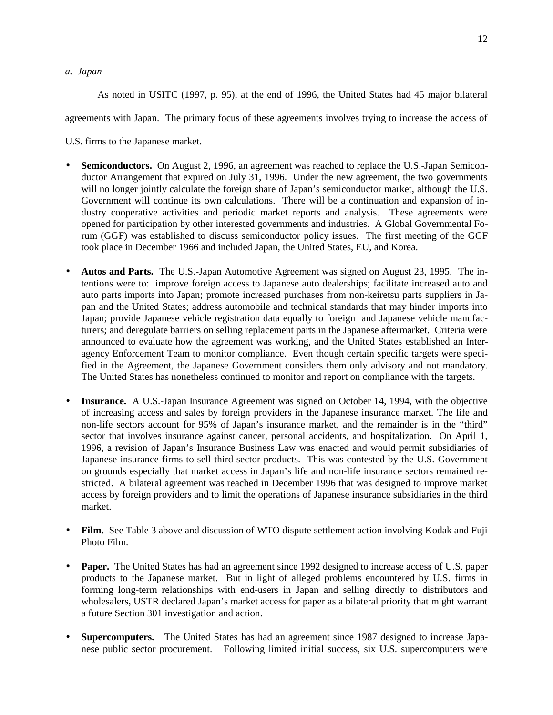#### *a. Japan*

As noted in USITC (1997, p. 95), at the end of 1996, the United States had 45 major bilateral

agreements with Japan. The primary focus of these agreements involves trying to increase the access of

U.S. firms to the Japanese market.

- **Semiconductors.** On August 2, 1996, an agreement was reached to replace the U.S.-Japan Semiconductor Arrangement that expired on July 31, 1996. Under the new agreement, the two governments will no longer jointly calculate the foreign share of Japan's semiconductor market, although the U.S. Government will continue its own calculations. There will be a continuation and expansion of industry cooperative activities and periodic market reports and analysis. These agreements were opened for participation by other interested governments and industries. A Global Governmental Forum (GGF) was established to discuss semiconductor policy issues. The first meeting of the GGF took place in December 1966 and included Japan, the United States, EU, and Korea.
- **Autos and Parts.** The U.S.-Japan Automotive Agreement was signed on August 23, 1995. The intentions were to: improve foreign access to Japanese auto dealerships; facilitate increased auto and auto parts imports into Japan; promote increased purchases from non-keiretsu parts suppliers in Japan and the United States; address automobile and technical standards that may hinder imports into Japan; provide Japanese vehicle registration data equally to foreign and Japanese vehicle manufacturers; and deregulate barriers on selling replacement parts in the Japanese aftermarket. Criteria were announced to evaluate how the agreement was working, and the United States established an Interagency Enforcement Team to monitor compliance. Even though certain specific targets were specified in the Agreement, the Japanese Government considers them only advisory and not mandatory. The United States has nonetheless continued to monitor and report on compliance with the targets.
- **Insurance.** A U.S.-Japan Insurance Agreement was signed on October 14, 1994, with the objective of increasing access and sales by foreign providers in the Japanese insurance market. The life and non-life sectors account for 95% of Japan's insurance market, and the remainder is in the "third" sector that involves insurance against cancer, personal accidents, and hospitalization. On April 1, 1996, a revision of Japan's Insurance Business Law was enacted and would permit subsidiaries of Japanese insurance firms to sell third-sector products. This was contested by the U.S. Government on grounds especially that market access in Japan's life and non-life insurance sectors remained restricted. A bilateral agreement was reached in December 1996 that was designed to improve market access by foreign providers and to limit the operations of Japanese insurance subsidiaries in the third market.
- **Film.** See Table 3 above and discussion of WTO dispute settlement action involving Kodak and Fuji Photo Film.
- **Paper.** The United States has had an agreement since 1992 designed to increase access of U.S. paper products to the Japanese market. But in light of alleged problems encountered by U.S. firms in forming long-term relationships with end-users in Japan and selling directly to distributors and wholesalers, USTR declared Japan's market access for paper as a bilateral priority that might warrant a future Section 301 investigation and action.
- **Supercomputers.** The United States has had an agreement since 1987 designed to increase Japanese public sector procurement. Following limited initial success, six U.S. supercomputers were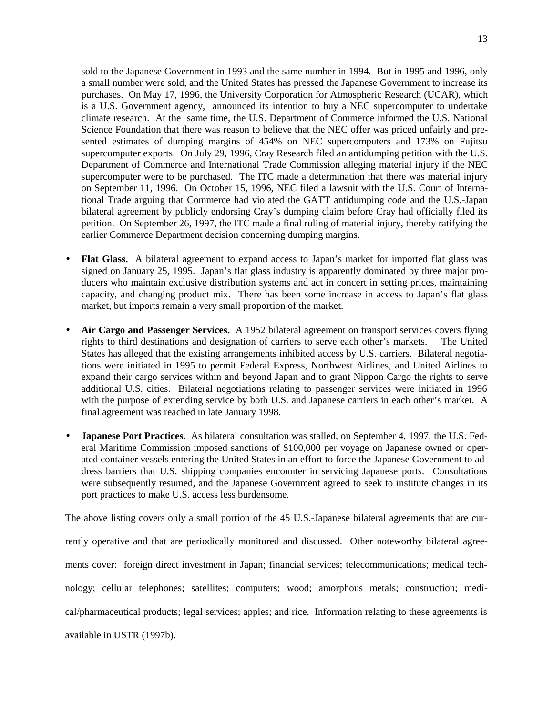sold to the Japanese Government in 1993 and the same number in 1994. But in 1995 and 1996, only a small number were sold, and the United States has pressed the Japanese Government to increase its purchases. On May 17, 1996, the University Corporation for Atmospheric Research (UCAR), which is a U.S. Government agency, announced its intention to buy a NEC supercomputer to undertake climate research. At the same time, the U.S. Department of Commerce informed the U.S. National Science Foundation that there was reason to believe that the NEC offer was priced unfairly and presented estimates of dumping margins of 454% on NEC supercomputers and 173% on Fujitsu supercomputer exports. On July 29, 1996, Cray Research filed an antidumping petition with the U.S. Department of Commerce and International Trade Commission alleging material injury if the NEC supercomputer were to be purchased. The ITC made a determination that there was material injury on September 11, 1996. On October 15, 1996, NEC filed a lawsuit with the U.S. Court of International Trade arguing that Commerce had violated the GATT antidumping code and the U.S.-Japan bilateral agreement by publicly endorsing Cray's dumping claim before Cray had officially filed its petition. On September 26, 1997, the ITC made a final ruling of material injury, thereby ratifying the earlier Commerce Department decision concerning dumping margins.

- **Flat Glass.** A bilateral agreement to expand access to Japan's market for imported flat glass was signed on January 25, 1995. Japan's flat glass industry is apparently dominated by three major producers who maintain exclusive distribution systems and act in concert in setting prices, maintaining capacity, and changing product mix. There has been some increase in access to Japan's flat glass market, but imports remain a very small proportion of the market.
- **Air Cargo and Passenger Services.** A 1952 bilateral agreement on transport services covers flying rights to third destinations and designation of carriers to serve each other's markets. The United States has alleged that the existing arrangements inhibited access by U.S. carriers. Bilateral negotiations were initiated in 1995 to permit Federal Express, Northwest Airlines, and United Airlines to expand their cargo services within and beyond Japan and to grant Nippon Cargo the rights to serve additional U.S. cities. Bilateral negotiations relating to passenger services were initiated in 1996 with the purpose of extending service by both U.S. and Japanese carriers in each other's market. A final agreement was reached in late January 1998.
- **Japanese Port Practices.** As bilateral consultation was stalled, on September 4, 1997, the U.S. Federal Maritime Commission imposed sanctions of \$100,000 per voyage on Japanese owned or operated container vessels entering the United States in an effort to force the Japanese Government to address barriers that U.S. shipping companies encounter in servicing Japanese ports. Consultations were subsequently resumed, and the Japanese Government agreed to seek to institute changes in its port practices to make U.S. access less burdensome.

The above listing covers only a small portion of the 45 U.S.-Japanese bilateral agreements that are cur-

rently operative and that are periodically monitored and discussed. Other noteworthy bilateral agreements cover: foreign direct investment in Japan; financial services; telecommunications; medical technology; cellular telephones; satellites; computers; wood; amorphous metals; construction; medical/pharmaceutical products; legal services; apples; and rice. Information relating to these agreements is available in USTR (1997b).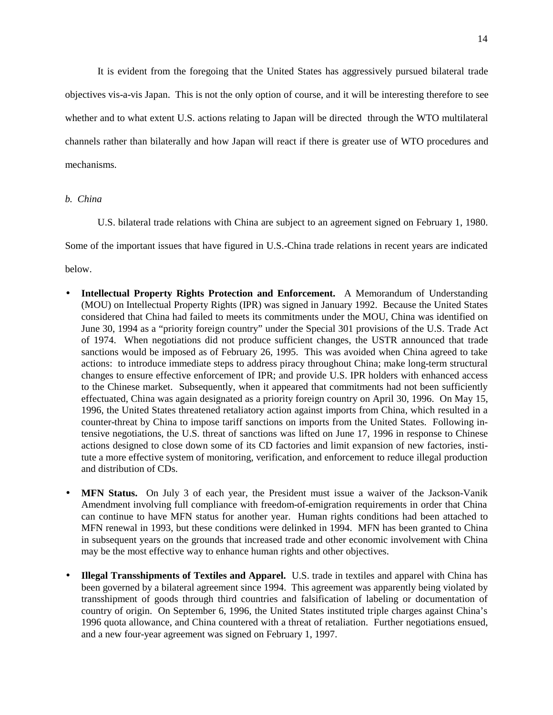It is evident from the foregoing that the United States has aggressively pursued bilateral trade objectives vis-a-vis Japan. This is not the only option of course, and it will be interesting therefore to see whether and to what extent U.S. actions relating to Japan will be directed through the WTO multilateral channels rather than bilaterally and how Japan will react if there is greater use of WTO procedures and mechanisms.

# *b. China*

U.S. bilateral trade relations with China are subject to an agreement signed on February 1, 1980.

Some of the important issues that have figured in U.S.-China trade relations in recent years are indicated

below.

- **Intellectual Property Rights Protection and Enforcement.** A Memorandum of Understanding (MOU) on Intellectual Property Rights (IPR) was signed in January 1992. Because the United States considered that China had failed to meets its commitments under the MOU, China was identified on June 30, 1994 as a "priority foreign country" under the Special 301 provisions of the U.S. Trade Act of 1974. When negotiations did not produce sufficient changes, the USTR announced that trade sanctions would be imposed as of February 26, 1995. This was avoided when China agreed to take actions: to introduce immediate steps to address piracy throughout China; make long-term structural changes to ensure effective enforcement of IPR; and provide U.S. IPR holders with enhanced access to the Chinese market. Subsequently, when it appeared that commitments had not been sufficiently effectuated, China was again designated as a priority foreign country on April 30, 1996. On May 15, 1996, the United States threatened retaliatory action against imports from China, which resulted in a counter-threat by China to impose tariff sanctions on imports from the United States. Following intensive negotiations, the U.S. threat of sanctions was lifted on June 17, 1996 in response to Chinese actions designed to close down some of its CD factories and limit expansion of new factories, institute a more effective system of monitoring, verification, and enforcement to reduce illegal production and distribution of CDs.
- **MFN Status.** On July 3 of each year, the President must issue a waiver of the Jackson-Vanik Amendment involving full compliance with freedom-of-emigration requirements in order that China can continue to have MFN status for another year. Human rights conditions had been attached to MFN renewal in 1993, but these conditions were delinked in 1994. MFN has been granted to China in subsequent years on the grounds that increased trade and other economic involvement with China may be the most effective way to enhance human rights and other objectives.
- **Illegal Transshipments of Textiles and Apparel.** U.S. trade in textiles and apparel with China has been governed by a bilateral agreement since 1994. This agreement was apparently being violated by transshipment of goods through third countries and falsification of labeling or documentation of country of origin. On September 6, 1996, the United States instituted triple charges against China's 1996 quota allowance, and China countered with a threat of retaliation. Further negotiations ensued, and a new four-year agreement was signed on February 1, 1997.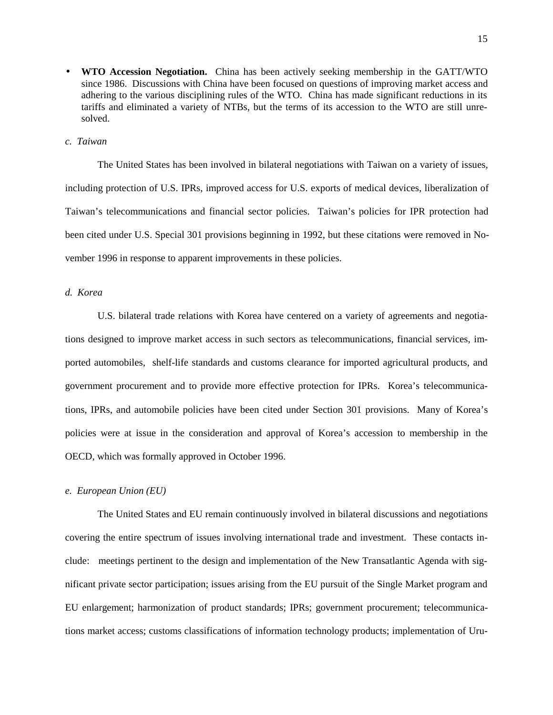• **WTO Accession Negotiation.** China has been actively seeking membership in the GATT/WTO since 1986. Discussions with China have been focused on questions of improving market access and adhering to the various disciplining rules of the WTO. China has made significant reductions in its tariffs and eliminated a variety of NTBs, but the terms of its accession to the WTO are still unresolved.

*c. Taiwan*

The United States has been involved in bilateral negotiations with Taiwan on a variety of issues, including protection of U.S. IPRs, improved access for U.S. exports of medical devices, liberalization of Taiwan's telecommunications and financial sector policies. Taiwan's policies for IPR protection had been cited under U.S. Special 301 provisions beginning in 1992, but these citations were removed in November 1996 in response to apparent improvements in these policies.

*d. Korea*

U.S. bilateral trade relations with Korea have centered on a variety of agreements and negotiations designed to improve market access in such sectors as telecommunications, financial services, imported automobiles, shelf-life standards and customs clearance for imported agricultural products, and government procurement and to provide more effective protection for IPRs. Korea's telecommunications, IPRs, and automobile policies have been cited under Section 301 provisions. Many of Korea's policies were at issue in the consideration and approval of Korea's accession to membership in the OECD, which was formally approved in October 1996.

### *e. European Union (EU)*

The United States and EU remain continuously involved in bilateral discussions and negotiations covering the entire spectrum of issues involving international trade and investment. These contacts include: meetings pertinent to the design and implementation of the New Transatlantic Agenda with significant private sector participation; issues arising from the EU pursuit of the Single Market program and EU enlargement; harmonization of product standards; IPRs; government procurement; telecommunications market access; customs classifications of information technology products; implementation of Uru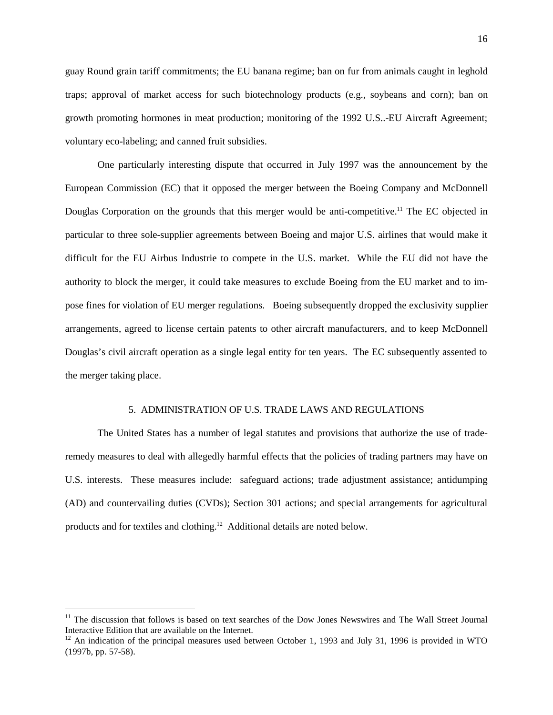guay Round grain tariff commitments; the EU banana regime; ban on fur from animals caught in leghold traps; approval of market access for such biotechnology products (e.g., soybeans and corn); ban on growth promoting hormones in meat production; monitoring of the 1992 U.S..-EU Aircraft Agreement; voluntary eco-labeling; and canned fruit subsidies.

One particularly interesting dispute that occurred in July 1997 was the announcement by the European Commission (EC) that it opposed the merger between the Boeing Company and McDonnell Douglas Corporation on the grounds that this merger would be anti-competitive.<sup>11</sup> The EC objected in particular to three sole-supplier agreements between Boeing and major U.S. airlines that would make it difficult for the EU Airbus Industrie to compete in the U.S. market. While the EU did not have the authority to block the merger, it could take measures to exclude Boeing from the EU market and to impose fines for violation of EU merger regulations. Boeing subsequently dropped the exclusivity supplier arrangements, agreed to license certain patents to other aircraft manufacturers, and to keep McDonnell Douglas's civil aircraft operation as a single legal entity for ten years. The EC subsequently assented to the merger taking place.

# 5. ADMINISTRATION OF U.S. TRADE LAWS AND REGULATIONS

The United States has a number of legal statutes and provisions that authorize the use of traderemedy measures to deal with allegedly harmful effects that the policies of trading partners may have on U.S. interests. These measures include: safeguard actions; trade adjustment assistance; antidumping (AD) and countervailing duties (CVDs); Section 301 actions; and special arrangements for agricultural products and for textiles and clothing.12 Additional details are noted below.

<sup>&</sup>lt;sup>11</sup> The discussion that follows is based on text searches of the Dow Jones Newswires and The Wall Street Journal Interactive Edition that are available on the Internet.

 $12$  An indication of the principal measures used between October 1, 1993 and July 31, 1996 is provided in WTO (1997b, pp. 57-58).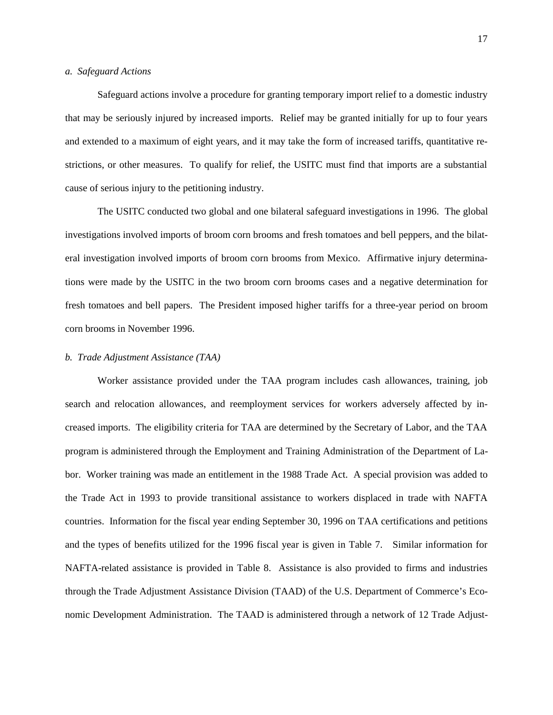#### *a. Safeguard Actions*

Safeguard actions involve a procedure for granting temporary import relief to a domestic industry that may be seriously injured by increased imports. Relief may be granted initially for up to four years and extended to a maximum of eight years, and it may take the form of increased tariffs, quantitative restrictions, or other measures. To qualify for relief, the USITC must find that imports are a substantial cause of serious injury to the petitioning industry.

The USITC conducted two global and one bilateral safeguard investigations in 1996. The global investigations involved imports of broom corn brooms and fresh tomatoes and bell peppers, and the bilateral investigation involved imports of broom corn brooms from Mexico. Affirmative injury determinations were made by the USITC in the two broom corn brooms cases and a negative determination for fresh tomatoes and bell papers. The President imposed higher tariffs for a three-year period on broom corn brooms in November 1996.

### *b. Trade Adjustment Assistance (TAA)*

Worker assistance provided under the TAA program includes cash allowances, training, job search and relocation allowances, and reemployment services for workers adversely affected by increased imports. The eligibility criteria for TAA are determined by the Secretary of Labor, and the TAA program is administered through the Employment and Training Administration of the Department of Labor. Worker training was made an entitlement in the 1988 Trade Act. A special provision was added to the Trade Act in 1993 to provide transitional assistance to workers displaced in trade with NAFTA countries. Information for the fiscal year ending September 30, 1996 on TAA certifications and petitions and the types of benefits utilized for the 1996 fiscal year is given in Table 7. Similar information for NAFTA-related assistance is provided in Table 8. Assistance is also provided to firms and industries through the Trade Adjustment Assistance Division (TAAD) of the U.S. Department of Commerce's Economic Development Administration. The TAAD is administered through a network of 12 Trade Adjust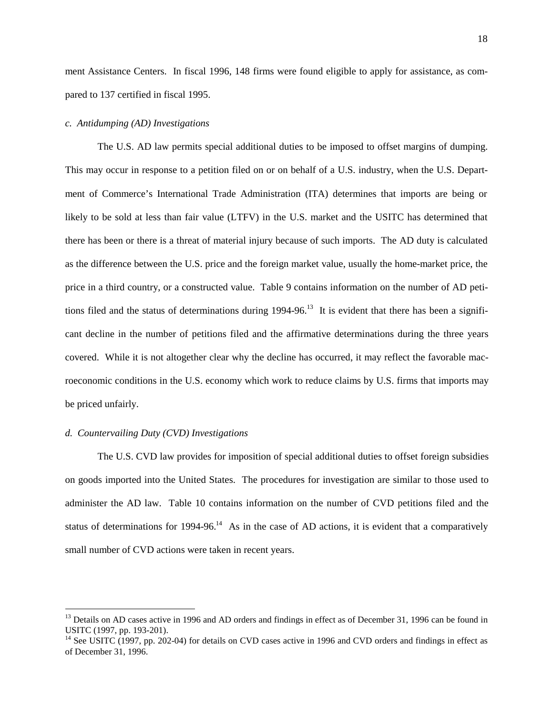ment Assistance Centers. In fiscal 1996, 148 firms were found eligible to apply for assistance, as compared to 137 certified in fiscal 1995.

### *c. Antidumping (AD) Investigations*

The U.S. AD law permits special additional duties to be imposed to offset margins of dumping. This may occur in response to a petition filed on or on behalf of a U.S. industry, when the U.S. Department of Commerce's International Trade Administration (ITA) determines that imports are being or likely to be sold at less than fair value (LTFV) in the U.S. market and the USITC has determined that there has been or there is a threat of material injury because of such imports. The AD duty is calculated as the difference between the U.S. price and the foreign market value, usually the home-market price, the price in a third country, or a constructed value. Table 9 contains information on the number of AD petitions filed and the status of determinations during  $1994-96$ .<sup>13</sup> It is evident that there has been a significant decline in the number of petitions filed and the affirmative determinations during the three years covered. While it is not altogether clear why the decline has occurred, it may reflect the favorable macroeconomic conditions in the U.S. economy which work to reduce claims by U.S. firms that imports may be priced unfairly.

# *d. Countervailing Duty (CVD) Investigations*

 $\overline{a}$ 

The U.S. CVD law provides for imposition of special additional duties to offset foreign subsidies on goods imported into the United States. The procedures for investigation are similar to those used to administer the AD law. Table 10 contains information on the number of CVD petitions filed and the status of determinations for 1994-96.<sup>14</sup> As in the case of AD actions, it is evident that a comparatively small number of CVD actions were taken in recent years.

<sup>&</sup>lt;sup>13</sup> Details on AD cases active in 1996 and AD orders and findings in effect as of December 31, 1996 can be found in USITC (1997, pp. 193-201).

<sup>&</sup>lt;sup>14</sup> See USITC (1997, pp. 202-04) for details on CVD cases active in 1996 and CVD orders and findings in effect as of December 31, 1996.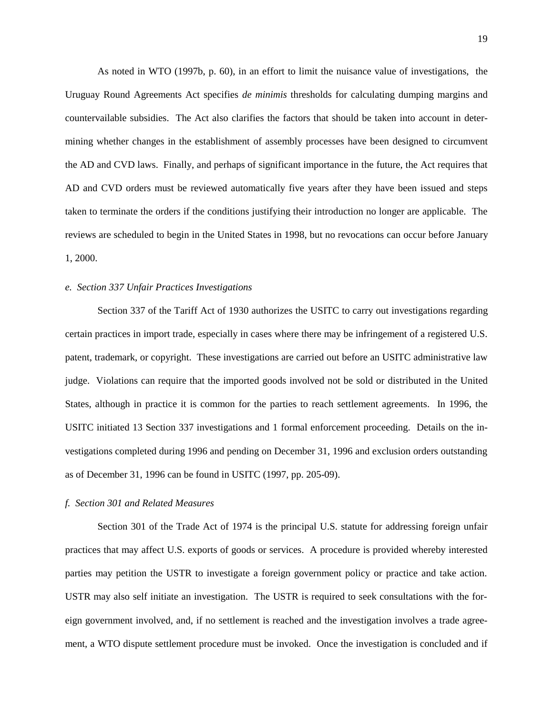As noted in WTO (1997b, p. 60), in an effort to limit the nuisance value of investigations, the Uruguay Round Agreements Act specifies *de minimis* thresholds for calculating dumping margins and countervailable subsidies. The Act also clarifies the factors that should be taken into account in determining whether changes in the establishment of assembly processes have been designed to circumvent the AD and CVD laws. Finally, and perhaps of significant importance in the future, the Act requires that AD and CVD orders must be reviewed automatically five years after they have been issued and steps taken to terminate the orders if the conditions justifying their introduction no longer are applicable. The reviews are scheduled to begin in the United States in 1998, but no revocations can occur before January 1, 2000.

#### *e. Section 337 Unfair Practices Investigations*

Section 337 of the Tariff Act of 1930 authorizes the USITC to carry out investigations regarding certain practices in import trade, especially in cases where there may be infringement of a registered U.S. patent, trademark, or copyright. These investigations are carried out before an USITC administrative law judge. Violations can require that the imported goods involved not be sold or distributed in the United States, although in practice it is common for the parties to reach settlement agreements. In 1996, the USITC initiated 13 Section 337 investigations and 1 formal enforcement proceeding. Details on the investigations completed during 1996 and pending on December 31, 1996 and exclusion orders outstanding as of December 31, 1996 can be found in USITC (1997, pp. 205-09).

#### *f. Section 301 and Related Measures*

Section 301 of the Trade Act of 1974 is the principal U.S. statute for addressing foreign unfair practices that may affect U.S. exports of goods or services. A procedure is provided whereby interested parties may petition the USTR to investigate a foreign government policy or practice and take action. USTR may also self initiate an investigation. The USTR is required to seek consultations with the foreign government involved, and, if no settlement is reached and the investigation involves a trade agreement, a WTO dispute settlement procedure must be invoked. Once the investigation is concluded and if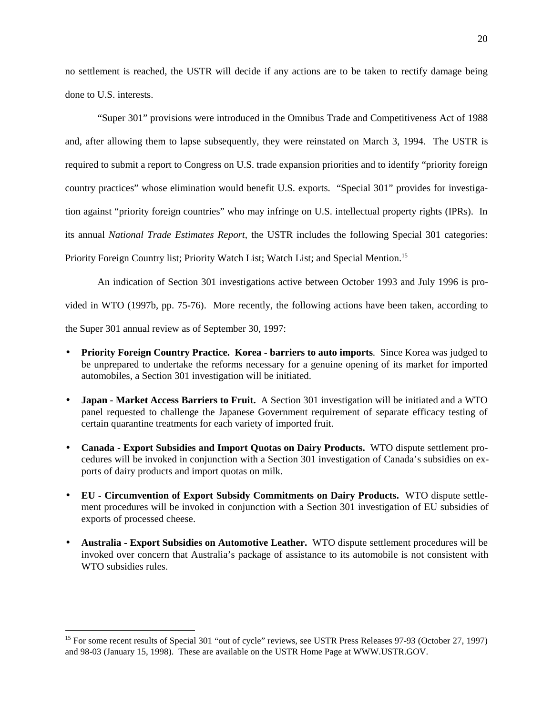no settlement is reached, the USTR will decide if any actions are to be taken to rectify damage being done to U.S. interests.

"Super 301" provisions were introduced in the Omnibus Trade and Competitiveness Act of 1988 and, after allowing them to lapse subsequently, they were reinstated on March 3, 1994. The USTR is required to submit a report to Congress on U.S. trade expansion priorities and to identify "priority foreign country practices" whose elimination would benefit U.S. exports. "Special 301" provides for investigation against "priority foreign countries" who may infringe on U.S. intellectual property rights (IPRs). In its annual *National Trade Estimates Report*, the USTR includes the following Special 301 categories: Priority Foreign Country list; Priority Watch List; Watch List; and Special Mention.<sup>15</sup>

An indication of Section 301 investigations active between October 1993 and July 1996 is provided in WTO (1997b, pp. 75-76). More recently, the following actions have been taken, according to the Super 301 annual review as of September 30, 1997:

- **Priority Foreign Country Practice. Korea barriers to auto imports**. Since Korea was judged to be unprepared to undertake the reforms necessary for a genuine opening of its market for imported automobiles, a Section 301 investigation will be initiated.
- **Japan Market Access Barriers to Fruit.** A Section 301 investigation will be initiated and a WTO panel requested to challenge the Japanese Government requirement of separate efficacy testing of certain quarantine treatments for each variety of imported fruit.
- **Canada Export Subsidies and Import Quotas on Dairy Products.** WTO dispute settlement procedures will be invoked in conjunction with a Section 301 investigation of Canada's subsidies on exports of dairy products and import quotas on milk.
- **EU Circumvention of Export Subsidy Commitments on Dairy Products.** WTO dispute settlement procedures will be invoked in conjunction with a Section 301 investigation of EU subsidies of exports of processed cheese.
- **Australia Export Subsidies on Automotive Leather.** WTO dispute settlement procedures will be invoked over concern that Australia's package of assistance to its automobile is not consistent with WTO subsidies rules.

<sup>&</sup>lt;sup>15</sup> For some recent results of Special 301 "out of cycle" reviews, see USTR Press Releases 97-93 (October 27, 1997) and 98-03 (January 15, 1998). These are available on the USTR Home Page at WWW.USTR.GOV.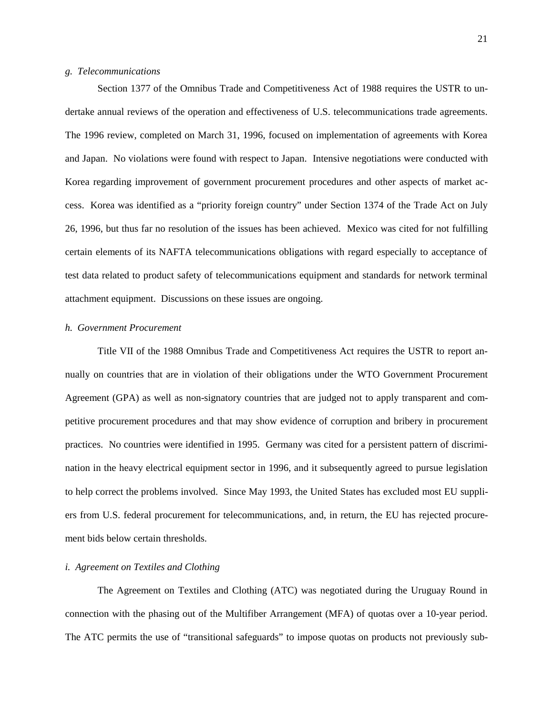# *g. Telecommunications*

Section 1377 of the Omnibus Trade and Competitiveness Act of 1988 requires the USTR to undertake annual reviews of the operation and effectiveness of U.S. telecommunications trade agreements. The 1996 review, completed on March 31, 1996, focused on implementation of agreements with Korea and Japan. No violations were found with respect to Japan. Intensive negotiations were conducted with Korea regarding improvement of government procurement procedures and other aspects of market access. Korea was identified as a "priority foreign country" under Section 1374 of the Trade Act on July 26, 1996, but thus far no resolution of the issues has been achieved. Mexico was cited for not fulfilling certain elements of its NAFTA telecommunications obligations with regard especially to acceptance of test data related to product safety of telecommunications equipment and standards for network terminal attachment equipment. Discussions on these issues are ongoing.

# *h. Government Procurement*

Title VII of the 1988 Omnibus Trade and Competitiveness Act requires the USTR to report annually on countries that are in violation of their obligations under the WTO Government Procurement Agreement (GPA) as well as non-signatory countries that are judged not to apply transparent and competitive procurement procedures and that may show evidence of corruption and bribery in procurement practices. No countries were identified in 1995. Germany was cited for a persistent pattern of discrimination in the heavy electrical equipment sector in 1996, and it subsequently agreed to pursue legislation to help correct the problems involved. Since May 1993, the United States has excluded most EU suppliers from U.S. federal procurement for telecommunications, and, in return, the EU has rejected procurement bids below certain thresholds.

### *i. Agreement on Textiles and Clothing*

The Agreement on Textiles and Clothing (ATC) was negotiated during the Uruguay Round in connection with the phasing out of the Multifiber Arrangement (MFA) of quotas over a 10-year period. The ATC permits the use of "transitional safeguards" to impose quotas on products not previously sub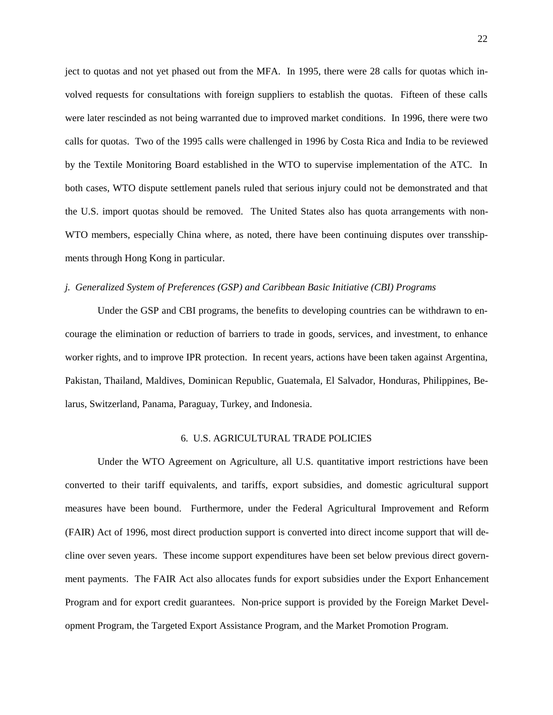ject to quotas and not yet phased out from the MFA. In 1995, there were 28 calls for quotas which involved requests for consultations with foreign suppliers to establish the quotas. Fifteen of these calls were later rescinded as not being warranted due to improved market conditions. In 1996, there were two calls for quotas. Two of the 1995 calls were challenged in 1996 by Costa Rica and India to be reviewed by the Textile Monitoring Board established in the WTO to supervise implementation of the ATC. In both cases, WTO dispute settlement panels ruled that serious injury could not be demonstrated and that the U.S. import quotas should be removed. The United States also has quota arrangements with non-WTO members, especially China where, as noted, there have been continuing disputes over transshipments through Hong Kong in particular.

#### *j. Generalized System of Preferences (GSP) and Caribbean Basic Initiative (CBI) Programs*

Under the GSP and CBI programs, the benefits to developing countries can be withdrawn to encourage the elimination or reduction of barriers to trade in goods, services, and investment, to enhance worker rights, and to improve IPR protection. In recent years, actions have been taken against Argentina, Pakistan, Thailand, Maldives, Dominican Republic, Guatemala, El Salvador, Honduras, Philippines, Belarus, Switzerland, Panama, Paraguay, Turkey, and Indonesia.

#### 6. U.S. AGRICULTURAL TRADE POLICIES

Under the WTO Agreement on Agriculture, all U.S. quantitative import restrictions have been converted to their tariff equivalents, and tariffs, export subsidies, and domestic agricultural support measures have been bound. Furthermore, under the Federal Agricultural Improvement and Reform (FAIR) Act of 1996, most direct production support is converted into direct income support that will decline over seven years. These income support expenditures have been set below previous direct government payments. The FAIR Act also allocates funds for export subsidies under the Export Enhancement Program and for export credit guarantees. Non-price support is provided by the Foreign Market Development Program, the Targeted Export Assistance Program, and the Market Promotion Program.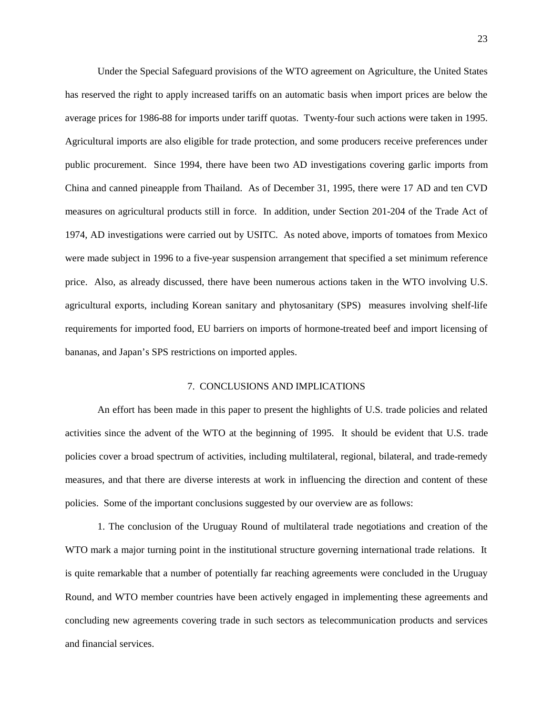Under the Special Safeguard provisions of the WTO agreement on Agriculture, the United States has reserved the right to apply increased tariffs on an automatic basis when import prices are below the average prices for 1986-88 for imports under tariff quotas. Twenty-four such actions were taken in 1995. Agricultural imports are also eligible for trade protection, and some producers receive preferences under public procurement. Since 1994, there have been two AD investigations covering garlic imports from China and canned pineapple from Thailand. As of December 31, 1995, there were 17 AD and ten CVD measures on agricultural products still in force. In addition, under Section 201-204 of the Trade Act of 1974, AD investigations were carried out by USITC. As noted above, imports of tomatoes from Mexico were made subject in 1996 to a five-year suspension arrangement that specified a set minimum reference price. Also, as already discussed, there have been numerous actions taken in the WTO involving U.S. agricultural exports, including Korean sanitary and phytosanitary (SPS) measures involving shelf-life requirements for imported food, EU barriers on imports of hormone-treated beef and import licensing of bananas, and Japan's SPS restrictions on imported apples.

#### 7. CONCLUSIONS AND IMPLICATIONS

An effort has been made in this paper to present the highlights of U.S. trade policies and related activities since the advent of the WTO at the beginning of 1995. It should be evident that U.S. trade policies cover a broad spectrum of activities, including multilateral, regional, bilateral, and trade-remedy measures, and that there are diverse interests at work in influencing the direction and content of these policies. Some of the important conclusions suggested by our overview are as follows:

1. The conclusion of the Uruguay Round of multilateral trade negotiations and creation of the WTO mark a major turning point in the institutional structure governing international trade relations. It is quite remarkable that a number of potentially far reaching agreements were concluded in the Uruguay Round, and WTO member countries have been actively engaged in implementing these agreements and concluding new agreements covering trade in such sectors as telecommunication products and services and financial services.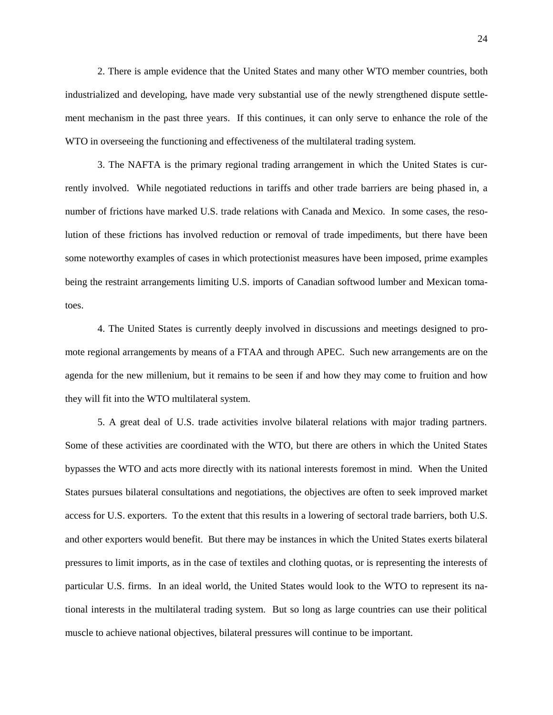2. There is ample evidence that the United States and many other WTO member countries, both industrialized and developing, have made very substantial use of the newly strengthened dispute settlement mechanism in the past three years. If this continues, it can only serve to enhance the role of the WTO in overseeing the functioning and effectiveness of the multilateral trading system.

3. The NAFTA is the primary regional trading arrangement in which the United States is currently involved. While negotiated reductions in tariffs and other trade barriers are being phased in, a number of frictions have marked U.S. trade relations with Canada and Mexico. In some cases, the resolution of these frictions has involved reduction or removal of trade impediments, but there have been some noteworthy examples of cases in which protectionist measures have been imposed, prime examples being the restraint arrangements limiting U.S. imports of Canadian softwood lumber and Mexican tomatoes.

4. The United States is currently deeply involved in discussions and meetings designed to promote regional arrangements by means of a FTAA and through APEC. Such new arrangements are on the agenda for the new millenium, but it remains to be seen if and how they may come to fruition and how they will fit into the WTO multilateral system.

5. A great deal of U.S. trade activities involve bilateral relations with major trading partners. Some of these activities are coordinated with the WTO, but there are others in which the United States bypasses the WTO and acts more directly with its national interests foremost in mind. When the United States pursues bilateral consultations and negotiations, the objectives are often to seek improved market access for U.S. exporters. To the extent that this results in a lowering of sectoral trade barriers, both U.S. and other exporters would benefit. But there may be instances in which the United States exerts bilateral pressures to limit imports, as in the case of textiles and clothing quotas, or is representing the interests of particular U.S. firms. In an ideal world, the United States would look to the WTO to represent its national interests in the multilateral trading system. But so long as large countries can use their political muscle to achieve national objectives, bilateral pressures will continue to be important.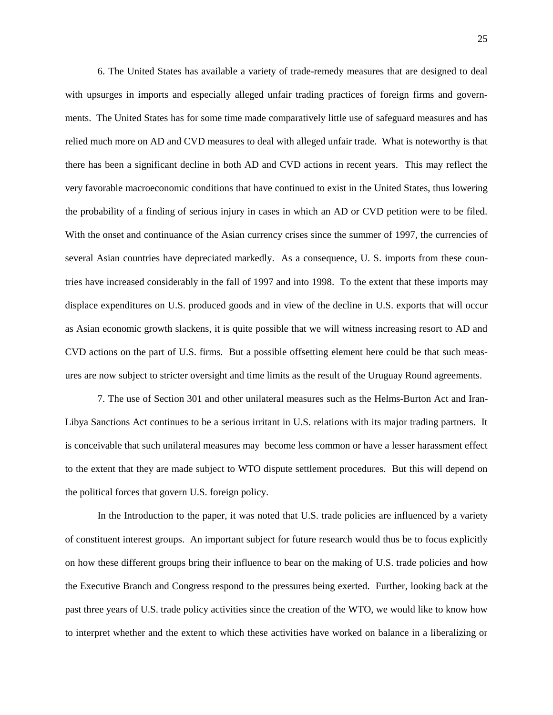6. The United States has available a variety of trade-remedy measures that are designed to deal with upsurges in imports and especially alleged unfair trading practices of foreign firms and governments. The United States has for some time made comparatively little use of safeguard measures and has relied much more on AD and CVD measures to deal with alleged unfair trade. What is noteworthy is that there has been a significant decline in both AD and CVD actions in recent years. This may reflect the very favorable macroeconomic conditions that have continued to exist in the United States, thus lowering the probability of a finding of serious injury in cases in which an AD or CVD petition were to be filed. With the onset and continuance of the Asian currency crises since the summer of 1997, the currencies of several Asian countries have depreciated markedly. As a consequence, U. S. imports from these countries have increased considerably in the fall of 1997 and into 1998. To the extent that these imports may displace expenditures on U.S. produced goods and in view of the decline in U.S. exports that will occur as Asian economic growth slackens, it is quite possible that we will witness increasing resort to AD and CVD actions on the part of U.S. firms. But a possible offsetting element here could be that such measures are now subject to stricter oversight and time limits as the result of the Uruguay Round agreements.

7. The use of Section 301 and other unilateral measures such as the Helms-Burton Act and Iran-Libya Sanctions Act continues to be a serious irritant in U.S. relations with its major trading partners. It is conceivable that such unilateral measures may become less common or have a lesser harassment effect to the extent that they are made subject to WTO dispute settlement procedures. But this will depend on the political forces that govern U.S. foreign policy.

In the Introduction to the paper, it was noted that U.S. trade policies are influenced by a variety of constituent interest groups. An important subject for future research would thus be to focus explicitly on how these different groups bring their influence to bear on the making of U.S. trade policies and how the Executive Branch and Congress respond to the pressures being exerted. Further, looking back at the past three years of U.S. trade policy activities since the creation of the WTO, we would like to know how to interpret whether and the extent to which these activities have worked on balance in a liberalizing or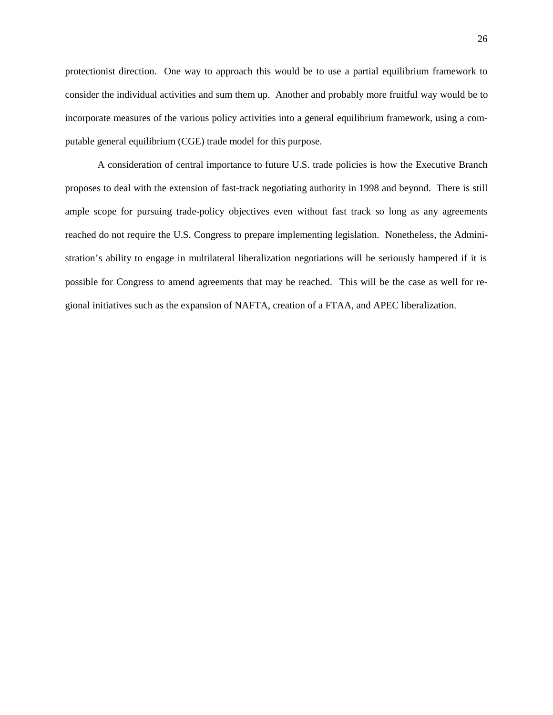protectionist direction. One way to approach this would be to use a partial equilibrium framework to consider the individual activities and sum them up. Another and probably more fruitful way would be to incorporate measures of the various policy activities into a general equilibrium framework, using a computable general equilibrium (CGE) trade model for this purpose.

A consideration of central importance to future U.S. trade policies is how the Executive Branch proposes to deal with the extension of fast-track negotiating authority in 1998 and beyond. There is still ample scope for pursuing trade-policy objectives even without fast track so long as any agreements reached do not require the U.S. Congress to prepare implementing legislation. Nonetheless, the Administration's ability to engage in multilateral liberalization negotiations will be seriously hampered if it is possible for Congress to amend agreements that may be reached. This will be the case as well for regional initiatives such as the expansion of NAFTA, creation of a FTAA, and APEC liberalization.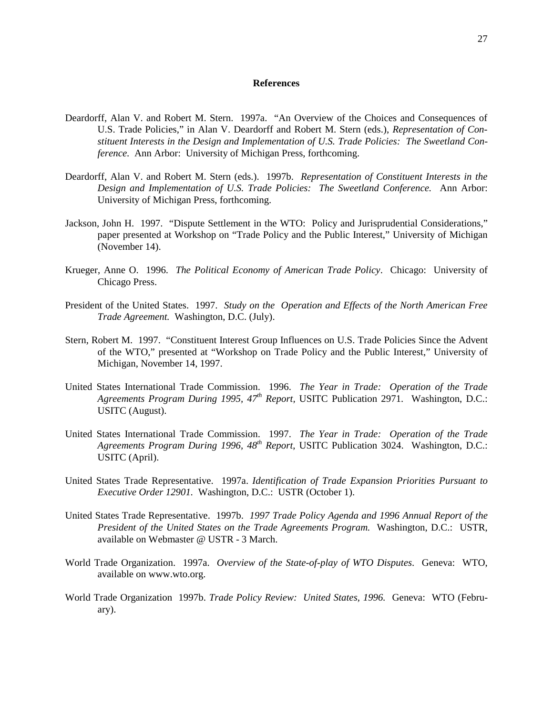#### **References**

- Deardorff, Alan V. and Robert M. Stern. 1997a. "An Overview of the Choices and Consequences of U.S. Trade Policies," in Alan V. Deardorff and Robert M. Stern (eds.), *Representation of Constituent Interests in the Design and Implementation of U.S. Trade Policies: The Sweetland Conference.* Ann Arbor: University of Michigan Press, forthcoming.
- Deardorff, Alan V. and Robert M. Stern (eds.). 1997b. *Representation of Constituent Interests in the Design and Implementation of U.S. Trade Policies: The Sweetland Conference.* Ann Arbor: University of Michigan Press, forthcoming.
- Jackson, John H. 1997. "Dispute Settlement in the WTO: Policy and Jurisprudential Considerations," paper presented at Workshop on "Trade Policy and the Public Interest," University of Michigan (November 14).
- Krueger, Anne O. 1996. *The Political Economy of American Trade Policy*. Chicago: University of Chicago Press.
- President of the United States. 1997. *Study on the Operation and Effects of the North American Free Trade Agreement.* Washington, D.C. (July).
- Stern, Robert M. 1997. "Constituent Interest Group Influences on U.S. Trade Policies Since the Advent of the WTO," presented at "Workshop on Trade Policy and the Public Interest," University of Michigan, November 14, 1997.
- United States International Trade Commission. 1996. *The Year in Trade: Operation of the Trade Agreements Program During 1995, 47th Report,* USITC Publication 2971*.* Washington, D.C.: USITC (August).
- United States International Trade Commission. 1997. *The Year in Trade: Operation of the Trade Agreements Program During 1996, 48th Report*, USITC Publication 3024. Washington, D.C.: USITC (April).
- United States Trade Representative. 1997a. *Identification of Trade Expansion Priorities Pursuant to Executive Order 12901.* Washington, D.C.: USTR (October 1).
- United States Trade Representative. 1997b. *1997 Trade Policy Agenda and 1996 Annual Report of the President of the United States on the Trade Agreements Program.* Washington, D.C.: USTR, available on Webmaster @ USTR - 3 March.
- World Trade Organization. 1997a. *Overview of the State-of-play of WTO Disputes*. Geneva: WTO, available on www.wto.org.
- World Trade Organization 1997b. *Trade Policy Review: United States, 1996.* Geneva: WTO (February).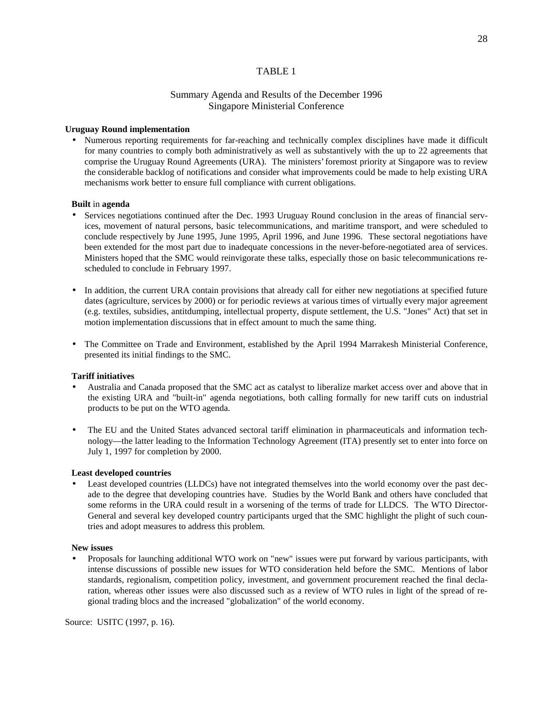### TABLE 1

### Summary Agenda and Results of the December 1996 Singapore Ministerial Conference

#### **Uruguay Round implementation**

• Numerous reporting requirements for far-reaching and technically complex disciplines have made it difficult for many countries to comply both administratively as well as substantively with the up to 22 agreements that comprise the Uruguay Round Agreements (URA). The ministers' foremost priority at Singapore was to review the considerable backlog of notifications and consider what improvements could be made to help existing URA mechanisms work better to ensure full compliance with current obligations.

#### **Built** in **agenda**

- Services negotiations continued after the Dec. 1993 Uruguay Round conclusion in the areas of financial services, movement of natural persons, basic telecommunications, and maritime transport, and were scheduled to conclude respectively by June 1995, June 1995, April 1996, and June 1996. These sectoral negotiations have been extended for the most part due to inadequate concessions in the never-before-negotiated area of services. Ministers hoped that the SMC would reinvigorate these talks, especially those on basic telecommunications rescheduled to conclude in February 1997.
- In addition, the current URA contain provisions that already call for either new negotiations at specified future dates (agriculture, services by 2000) or for periodic reviews at various times of virtually every major agreement (e.g. textiles, subsidies, antitdumping, intellectual property, dispute settlement, the U.S. "Jones" Act) that set in motion implementation discussions that in effect amount to much the same thing.
- The Committee on Trade and Environment, established by the April 1994 Marrakesh Ministerial Conference, presented its initial findings to the SMC.

#### **Tariff initiatives**

- Australia and Canada proposed that the SMC act as catalyst to liberalize market access over and above that in the existing URA and "built-in" agenda negotiations, both calling formally for new tariff cuts on industrial products to be put on the WTO agenda.
- The EU and the United States advanced sectoral tariff elimination in pharmaceuticals and information technology—the latter leading to the Information Technology Agreement (ITA) presently set to enter into force on July 1, 1997 for completion by 2000.

#### **Least developed countries**

Least developed countries (LLDCs) have not integrated themselves into the world economy over the past decade to the degree that developing countries have. Studies by the World Bank and others have concluded that some reforms in the URA could result in a worsening of the terms of trade for LLDCS. The WTO Director-General and several key developed country participants urged that the SMC highlight the plight of such countries and adopt measures to address this problem.

#### **New issues**

• Proposals for launching additional WTO work on "new" issues were put forward by various participants, with intense discussions of possible new issues for WTO consideration held before the SMC. Mentions of labor standards, regionalism, competition policy, investment, and government procurement reached the final declaration, whereas other issues were also discussed such as a review of WTO rules in light of the spread of regional trading blocs and the increased "globalization" of the world economy.

Source: USITC (1997, p. 16).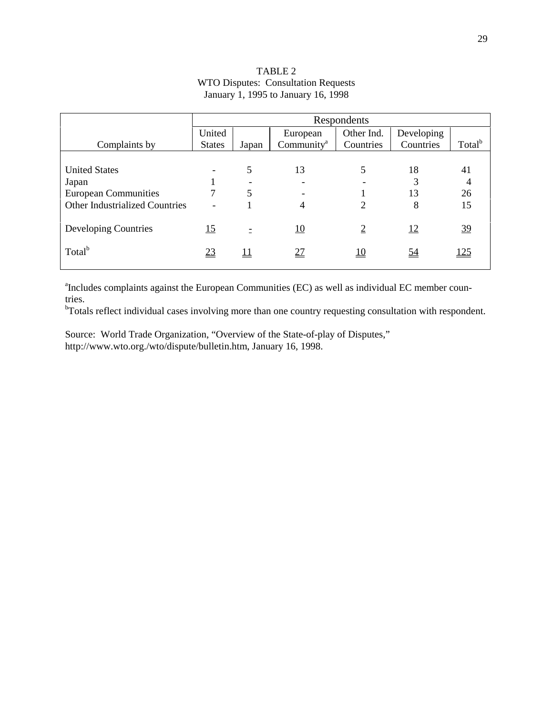|                                | Respondents   |            |                        |                |            |                    |
|--------------------------------|---------------|------------|------------------------|----------------|------------|--------------------|
|                                | United        |            | European               | Other Ind.     | Developing |                    |
| Complaints by                  | <b>States</b> | Japan      | Community <sup>a</sup> | Countries      | Countries  | Total <sup>b</sup> |
|                                |               |            |                        |                |            |                    |
| <b>United States</b>           |               | 5          | 13                     | 5              | 18         | 41                 |
| Japan                          |               |            |                        |                | 3          | 4                  |
| <b>European Communities</b>    | 7             | 5          |                        |                | 13         | 26                 |
| Other Industrialized Countries |               |            |                        | 2              | 8          | 15                 |
|                                |               |            |                        |                |            |                    |
| Developing Countries           | <u> 15</u>    |            | 10                     | $\overline{2}$ | 12         | <u>39</u>          |
|                                |               |            |                        |                |            |                    |
| Total <sup>b</sup>             | 23            | <u> 11</u> | $\overline{27}$        | <u> 10</u>     | <u>54</u>  | <u>125</u>         |
|                                |               |            |                        |                |            |                    |

# TABLE 2 WTO Disputes: Consultation Requests January 1, 1995 to January 16, 1998

<sup>a</sup>Includes complaints against the European Communities (EC) as well as individual EC member countries.

<sup>b</sup>Totals reflect individual cases involving more than one country requesting consultation with respondent.

Source: World Trade Organization, "Overview of the State-of-play of Disputes," http://www.wto.org./wto/dispute/bulletin.htm, January 16, 1998.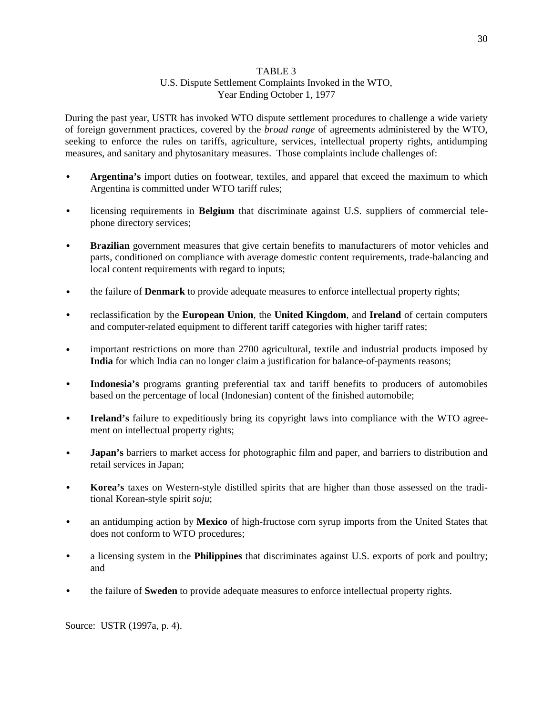# TABLE 3

# U.S. Dispute Settlement Complaints Invoked in the WTO, Year Ending October 1, 1977

During the past year, USTR has invoked WTO dispute settlement procedures to challenge a wide variety of foreign government practices, covered by the *broad range* of agreements administered by the WTO, seeking to enforce the rules on tariffs, agriculture, services, intellectual property rights, antidumping measures, and sanitary and phytosanitary measures. Those complaints include challenges of:

- **Argentina's** import duties on footwear, textiles, and apparel that exceed the maximum to which Argentina is committed under WTO tariff rules;
- licensing requirements in **Belgium** that discriminate against U.S. suppliers of commercial telephone directory services;
- **Brazilian** government measures that give certain benefits to manufacturers of motor vehicles and parts, conditioned on compliance with average domestic content requirements, trade-balancing and local content requirements with regard to inputs;
- the failure of **Denmark** to provide adequate measures to enforce intellectual property rights;
- reclassification by the **European Union**, the **United Kingdom**, and **Ireland** of certain computers and computer-related equipment to different tariff categories with higher tariff rates;
- important restrictions on more than 2700 agricultural, textile and industrial products imposed by **India** for which India can no longer claim a justification for balance-of-payments reasons;
- **Indonesia's** programs granting preferential tax and tariff benefits to producers of automobiles based on the percentage of local (Indonesian) content of the finished automobile;
- **Ireland's** failure to expeditiously bring its copyright laws into compliance with the WTO agreement on intellectual property rights;
- **Japan's** barriers to market access for photographic film and paper, and barriers to distribution and retail services in Japan;
- **Korea's** taxes on Western-style distilled spirits that are higher than those assessed on the traditional Korean-style spirit *soju*;
- an antidumping action by **Mexico** of high-fructose corn syrup imports from the United States that does not conform to WTO procedures;
- a licensing system in the **Philippines** that discriminates against U.S. exports of pork and poultry; and
- the failure of **Sweden** to provide adequate measures to enforce intellectual property rights.

Source: USTR (1997a, p. 4).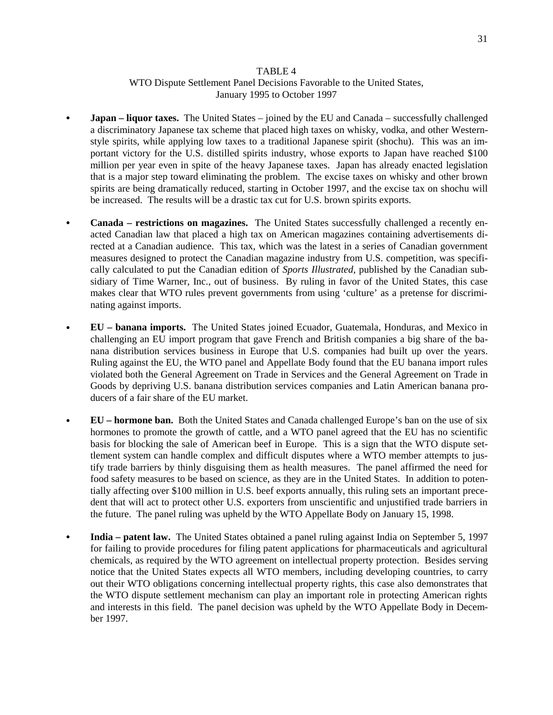# TABLE 4

# WTO Dispute Settlement Panel Decisions Favorable to the United States, January 1995 to October 1997

- **Japan liquor taxes.** The United States joined by the EU and Canada successfully challenged a discriminatory Japanese tax scheme that placed high taxes on whisky, vodka, and other Westernstyle spirits, while applying low taxes to a traditional Japanese spirit (shochu). This was an important victory for the U.S. distilled spirits industry, whose exports to Japan have reached \$100 million per year even in spite of the heavy Japanese taxes. Japan has already enacted legislation that is a major step toward eliminating the problem. The excise taxes on whisky and other brown spirits are being dramatically reduced, starting in October 1997, and the excise tax on shochu will be increased. The results will be a drastic tax cut for U.S. brown spirits exports.
- **Canada restrictions on magazines.** The United States successfully challenged a recently enacted Canadian law that placed a high tax on American magazines containing advertisements directed at a Canadian audience. This tax, which was the latest in a series of Canadian government measures designed to protect the Canadian magazine industry from U.S. competition, was specifically calculated to put the Canadian edition of *Sports Illustrated*, published by the Canadian subsidiary of Time Warner, Inc., out of business. By ruling in favor of the United States, this case makes clear that WTO rules prevent governments from using 'culture' as a pretense for discriminating against imports.
- **EU banana imports.** The United States joined Ecuador, Guatemala, Honduras, and Mexico in challenging an EU import program that gave French and British companies a big share of the banana distribution services business in Europe that U.S. companies had built up over the years. Ruling against the EU, the WTO panel and Appellate Body found that the EU banana import rules violated both the General Agreement on Trade in Services and the General Agreement on Trade in Goods by depriving U.S. banana distribution services companies and Latin American banana producers of a fair share of the EU market.
- **EU hormone ban.** Both the United States and Canada challenged Europe's ban on the use of six hormones to promote the growth of cattle, and a WTO panel agreed that the EU has no scientific basis for blocking the sale of American beef in Europe. This is a sign that the WTO dispute settlement system can handle complex and difficult disputes where a WTO member attempts to justify trade barriers by thinly disguising them as health measures. The panel affirmed the need for food safety measures to be based on science, as they are in the United States. In addition to potentially affecting over \$100 million in U.S. beef exports annually, this ruling sets an important precedent that will act to protect other U.S. exporters from unscientific and unjustified trade barriers in the future. The panel ruling was upheld by the WTO Appellate Body on January 15, 1998.
- **India patent law.** The United States obtained a panel ruling against India on September 5, 1997 for failing to provide procedures for filing patent applications for pharmaceuticals and agricultural chemicals, as required by the WTO agreement on intellectual property protection. Besides serving notice that the United States expects all WTO members, including developing countries, to carry out their WTO obligations concerning intellectual property rights, this case also demonstrates that the WTO dispute settlement mechanism can play an important role in protecting American rights and interests in this field. The panel decision was upheld by the WTO Appellate Body in December 1997.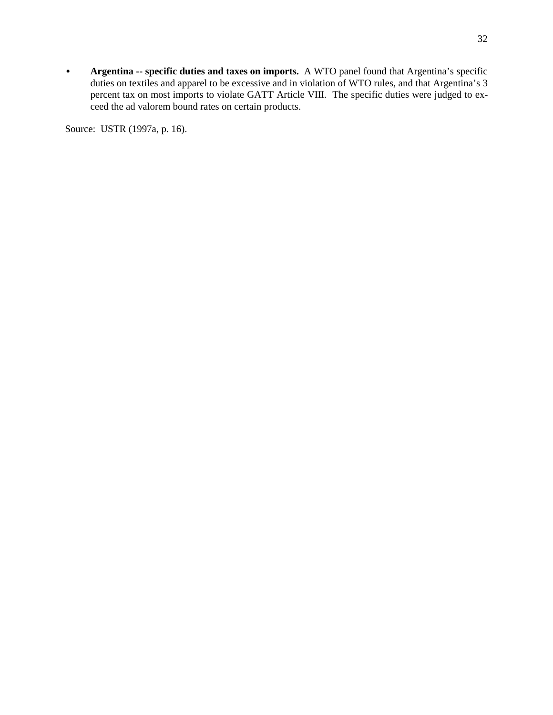• **Argentina -- specific duties and taxes on imports.** A WTO panel found that Argentina's specific duties on textiles and apparel to be excessive and in violation of WTO rules, and that Argentina's 3 percent tax on most imports to violate GATT Article VIII. The specific duties were judged to exceed the ad valorem bound rates on certain products.

Source: USTR (1997a, p. 16).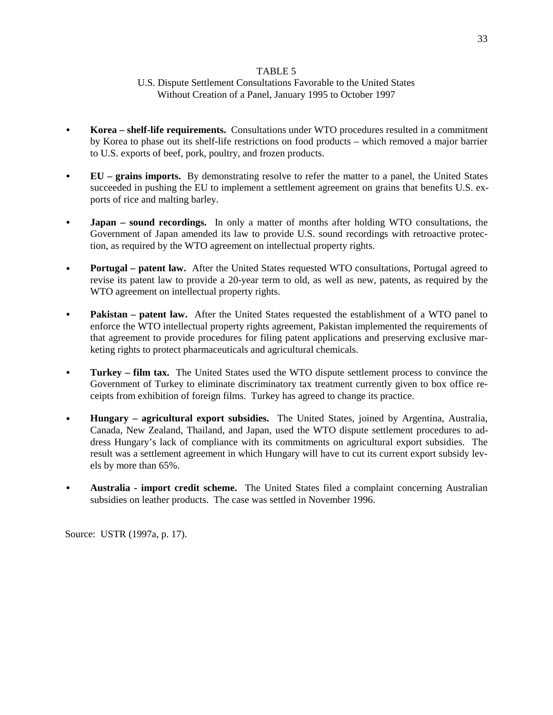# TABLE 5

# U.S. Dispute Settlement Consultations Favorable to the United States Without Creation of a Panel, January 1995 to October 1997

- **Korea shelf-life requirements.** Consultations under WTO procedures resulted in a commitment by Korea to phase out its shelf-life restrictions on food products – which removed a major barrier to U.S. exports of beef, pork, poultry, and frozen products.
- **EU grains imports.** By demonstrating resolve to refer the matter to a panel, the United States succeeded in pushing the EU to implement a settlement agreement on grains that benefits U.S. exports of rice and malting barley.
- **Japan sound recordings.** In only a matter of months after holding WTO consultations, the Government of Japan amended its law to provide U.S. sound recordings with retroactive protection, as required by the WTO agreement on intellectual property rights.
- **Portugal patent law.** After the United States requested WTO consultations, Portugal agreed to revise its patent law to provide a 20-year term to old, as well as new, patents, as required by the WTO agreement on intellectual property rights.
- **Pakistan patent law.** After the United States requested the establishment of a WTO panel to enforce the WTO intellectual property rights agreement, Pakistan implemented the requirements of that agreement to provide procedures for filing patent applications and preserving exclusive marketing rights to protect pharmaceuticals and agricultural chemicals.
- **Turkey film tax.** The United States used the WTO dispute settlement process to convince the Government of Turkey to eliminate discriminatory tax treatment currently given to box office receipts from exhibition of foreign films. Turkey has agreed to change its practice.
- **Hungary agricultural export subsidies.** The United States, joined by Argentina, Australia, Canada, New Zealand, Thailand, and Japan, used the WTO dispute settlement procedures to address Hungary's lack of compliance with its commitments on agricultural export subsidies. The result was a settlement agreement in which Hungary will have to cut its current export subsidy levels by more than 65%.
- **Australia import credit scheme.** The United States filed a complaint concerning Australian subsidies on leather products. The case was settled in November 1996.

Source: USTR (1997a, p. 17).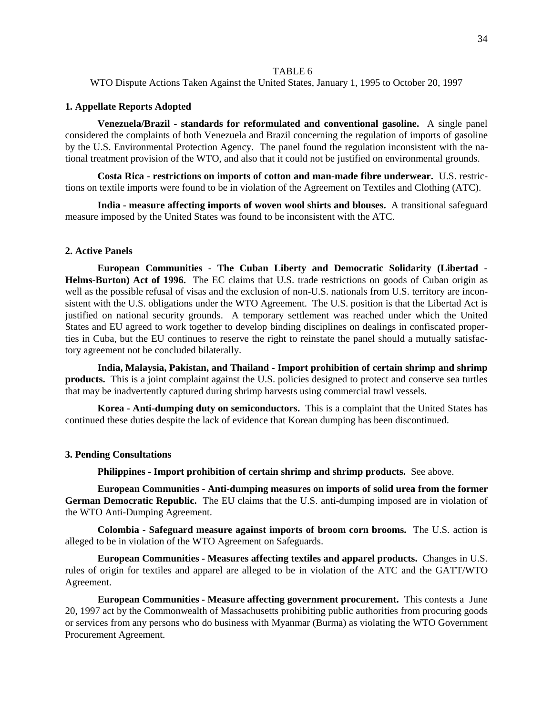#### TABLE 6

WTO Dispute Actions Taken Against the United States, January 1, 1995 to October 20, 1997

### **1. Appellate Reports Adopted**

**Venezuela/Brazil - standards for reformulated and conventional gasoline.** A single panel considered the complaints of both Venezuela and Brazil concerning the regulation of imports of gasoline by the U.S. Environmental Protection Agency. The panel found the regulation inconsistent with the national treatment provision of the WTO, and also that it could not be justified on environmental grounds.

**Costa Rica - restrictions on imports of cotton and man-made fibre underwear.** U.S. restrictions on textile imports were found to be in violation of the Agreement on Textiles and Clothing (ATC).

**India - measure affecting imports of woven wool shirts and blouses.** A transitional safeguard measure imposed by the United States was found to be inconsistent with the ATC.

#### **2. Active Panels**

**European Communities - The Cuban Liberty and Democratic Solidarity (Libertad - Helms-Burton) Act of 1996.** The EC claims that U.S. trade restrictions on goods of Cuban origin as well as the possible refusal of visas and the exclusion of non-U.S. nationals from U.S. territory are inconsistent with the U.S. obligations under the WTO Agreement. The U.S. position is that the Libertad Act is justified on national security grounds. A temporary settlement was reached under which the United States and EU agreed to work together to develop binding disciplines on dealings in confiscated properties in Cuba, but the EU continues to reserve the right to reinstate the panel should a mutually satisfactory agreement not be concluded bilaterally.

**India, Malaysia, Pakistan, and Thailand - Import prohibition of certain shrimp and shrimp products.** This is a joint complaint against the U.S. policies designed to protect and conserve sea turtles that may be inadvertently captured during shrimp harvests using commercial trawl vessels.

**Korea - Anti-dumping duty on semiconductors.** This is a complaint that the United States has continued these duties despite the lack of evidence that Korean dumping has been discontinued.

#### **3. Pending Consultations**

**Philippines - Import prohibition of certain shrimp and shrimp products.** See above.

**European Communities - Anti-dumping measures on imports of solid urea from the former German Democratic Republic.** The EU claims that the U.S. anti-dumping imposed are in violation of the WTO Anti-Dumping Agreement.

**Colombia - Safeguard measure against imports of broom corn brooms.** The U.S. action is alleged to be in violation of the WTO Agreement on Safeguards.

**European Communities - Measures affecting textiles and apparel products.** Changes in U.S. rules of origin for textiles and apparel are alleged to be in violation of the ATC and the GATT/WTO Agreement.

**European Communities - Measure affecting government procurement.** This contests a June 20, 1997 act by the Commonwealth of Massachusetts prohibiting public authorities from procuring goods or services from any persons who do business with Myanmar (Burma) as violating the WTO Government Procurement Agreement.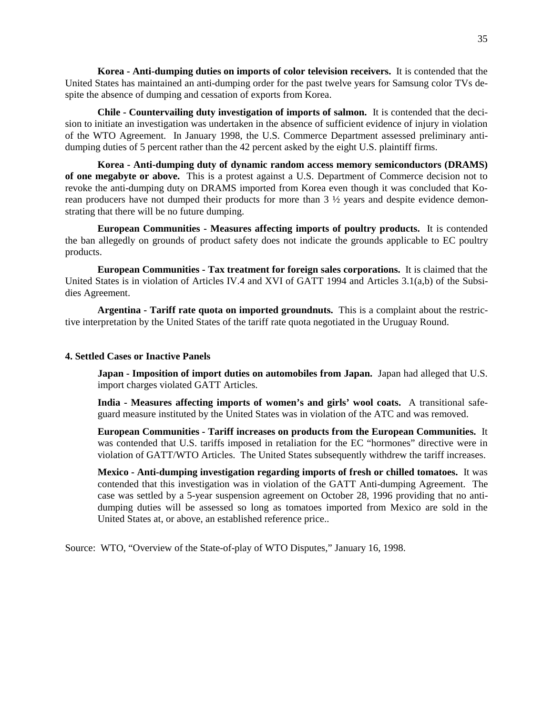**Korea - Anti-dumping duties on imports of color television receivers.** It is contended that the United States has maintained an anti-dumping order for the past twelve years for Samsung color TVs despite the absence of dumping and cessation of exports from Korea.

**Chile - Countervailing duty investigation of imports of salmon.** It is contended that the decision to initiate an investigation was undertaken in the absence of sufficient evidence of injury in violation of the WTO Agreement. In January 1998, the U.S. Commerce Department assessed preliminary antidumping duties of 5 percent rather than the 42 percent asked by the eight U.S. plaintiff firms.

**Korea - Anti-dumping duty of dynamic random access memory semiconductors (DRAMS) of one megabyte or above.** This is a protest against a U.S. Department of Commerce decision not to revoke the anti-dumping duty on DRAMS imported from Korea even though it was concluded that Korean producers have not dumped their products for more than  $3 \frac{1}{2}$  years and despite evidence demonstrating that there will be no future dumping.

**European Communities - Measures affecting imports of poultry products.** It is contended the ban allegedly on grounds of product safety does not indicate the grounds applicable to EC poultry products.

**European Communities - Tax treatment for foreign sales corporations.** It is claimed that the United States is in violation of Articles IV.4 and XVI of GATT 1994 and Articles 3.1(a,b) of the Subsidies Agreement.

**Argentina - Tariff rate quota on imported groundnuts.** This is a complaint about the restrictive interpretation by the United States of the tariff rate quota negotiated in the Uruguay Round.

#### **4. Settled Cases or Inactive Panels**

**Japan - Imposition of import duties on automobiles from Japan.** Japan had alleged that U.S. import charges violated GATT Articles.

**India - Measures affecting imports of women's and girls' wool coats.** A transitional safeguard measure instituted by the United States was in violation of the ATC and was removed.

**European Communities - Tariff increases on products from the European Communities.** It was contended that U.S. tariffs imposed in retaliation for the EC "hormones" directive were in violation of GATT/WTO Articles. The United States subsequently withdrew the tariff increases.

**Mexico - Anti-dumping investigation regarding imports of fresh or chilled tomatoes.** It was contended that this investigation was in violation of the GATT Anti-dumping Agreement. The case was settled by a 5-year suspension agreement on October 28, 1996 providing that no antidumping duties will be assessed so long as tomatoes imported from Mexico are sold in the United States at, or above, an established reference price..

Source: WTO, "Overview of the State-of-play of WTO Disputes," January 16, 1998.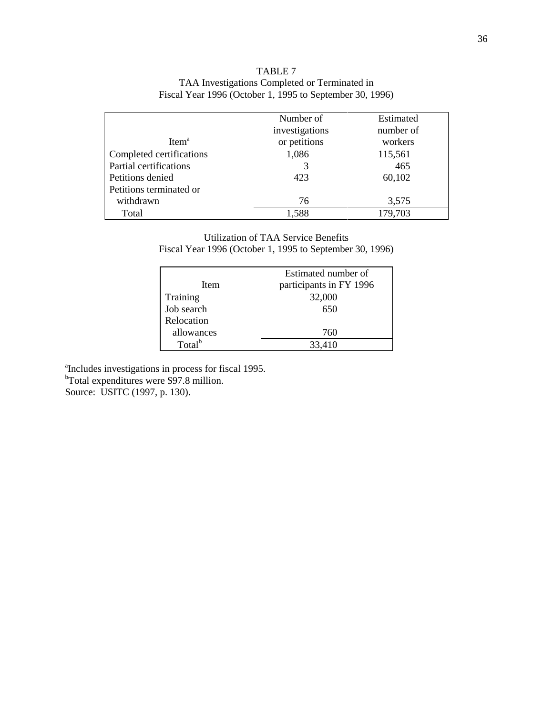| TABLE 7                                                  |
|----------------------------------------------------------|
| TAA Investigations Completed or Terminated in            |
| Fiscal Year 1996 (October 1, 1995 to September 30, 1996) |

|                          | Number of      | Estimated |
|--------------------------|----------------|-----------|
|                          | investigations | number of |
| Item <sup>a</sup>        | or petitions   | workers   |
| Completed certifications | 1,086          | 115,561   |
| Partial certifications   | 3              | 465       |
| Petitions denied         | 423            | 60,102    |
| Petitions terminated or  |                |           |
| withdrawn                | 76             | 3,575     |
| Total                    | 1,588          | 179,703   |

# Utilization of TAA Service Benefits Fiscal Year 1996 (October 1, 1995 to September 30, 1996)

|                    | Estimated number of     |
|--------------------|-------------------------|
| Item               | participants in FY 1996 |
| Training           | 32,000                  |
| Job search         | 650                     |
| Relocation         |                         |
| allowances         | 760                     |
| Total <sup>b</sup> | 33,410                  |

<sup>a</sup> Includes investigations in process for fiscal 1995.<br><sup>b</sup>Total expenditures were \$97.8 million. Source: USITC (1997, p. 130).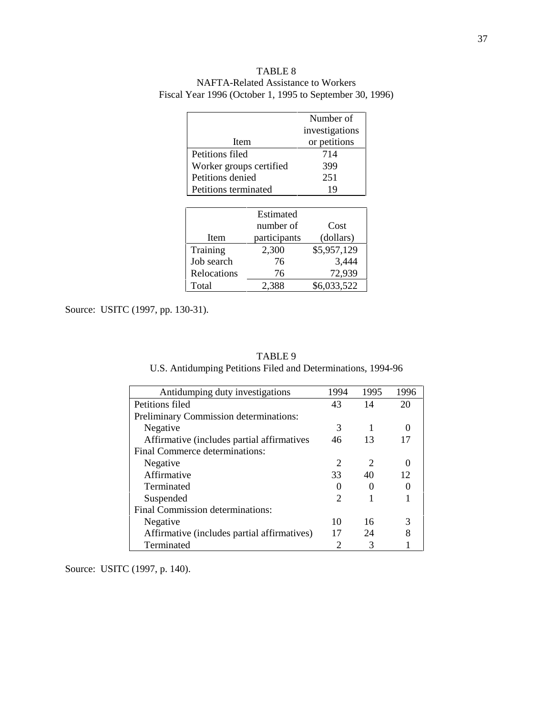| TABLE 8                                                  |  |
|----------------------------------------------------------|--|
| NAFTA-Related Assistance to Workers                      |  |
| Fiscal Year 1996 (October 1, 1995 to September 30, 1996) |  |

|                         | Number of      |
|-------------------------|----------------|
|                         | investigations |
| Item                    | or petitions   |
| Petitions filed         | 714            |
| Worker groups certified | 399            |
| Petitions denied        | 251            |
| Petitions terminated    | 19             |

|             | Estimated    |             |
|-------------|--------------|-------------|
|             | number of    | Cost        |
| Item        | participants | (dollars)   |
| Training    | 2,300        | \$5,957,129 |
| Job search  | 76           | 3,444       |
| Relocations | 76           | 72,939      |
| Total       | 2,388        | \$6,033,522 |

Source: USITC (1997, pp. 130-31).

# TABLE 9

U.S. Antidumping Petitions Filed and Determinations, 1994-96

| Antidumping duty investigations             | 1994                        | 1995                        | 1996              |
|---------------------------------------------|-----------------------------|-----------------------------|-------------------|
| Petitions filed                             | 43                          | 14                          | 20                |
| Preliminary Commission determinations:      |                             |                             |                   |
| Negative                                    | 3                           | 1                           |                   |
| Affirmative (includes partial affirmatives  | 46                          | 13                          | 17                |
| Final Commerce determinations:              |                             |                             |                   |
| Negative                                    | $\mathcal{D}_{\mathcal{L}}$ | $\mathcal{D}_{\mathcal{L}}$ |                   |
| Affirmative                                 | 33                          | 40                          | $12 \overline{)}$ |
| Terminated                                  | $\mathbf{0}$                | $\Omega$                    |                   |
| Suspended                                   | $\mathcal{D}_{\mathcal{L}}$ |                             |                   |
| Final Commission determinations:            |                             |                             |                   |
| Negative                                    | 10                          | 16                          |                   |
| Affirmative (includes partial affirmatives) | 17                          | 24                          |                   |
| Terminated                                  | っ                           | 3                           |                   |

Source: USITC (1997, p. 140).